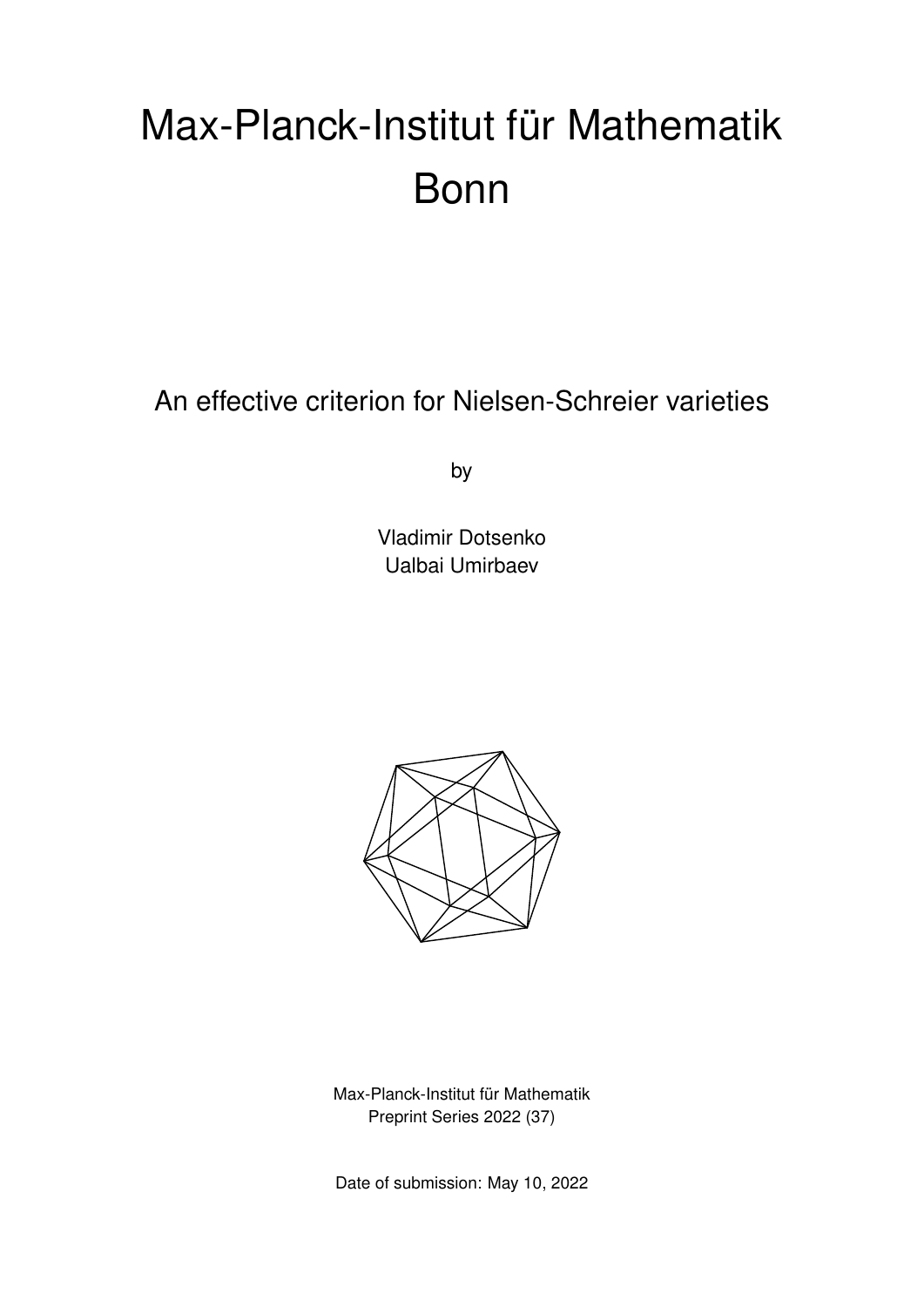# Max-Planck-Institut für Mathematik Bonn

An effective criterion for Nielsen-Schreier varieties

by

Vladimir Dotsenko Ualbai Umirbaev



Max-Planck-Institut für Mathematik Preprint Series 2022 (37)

Date of submission: May 10, 2022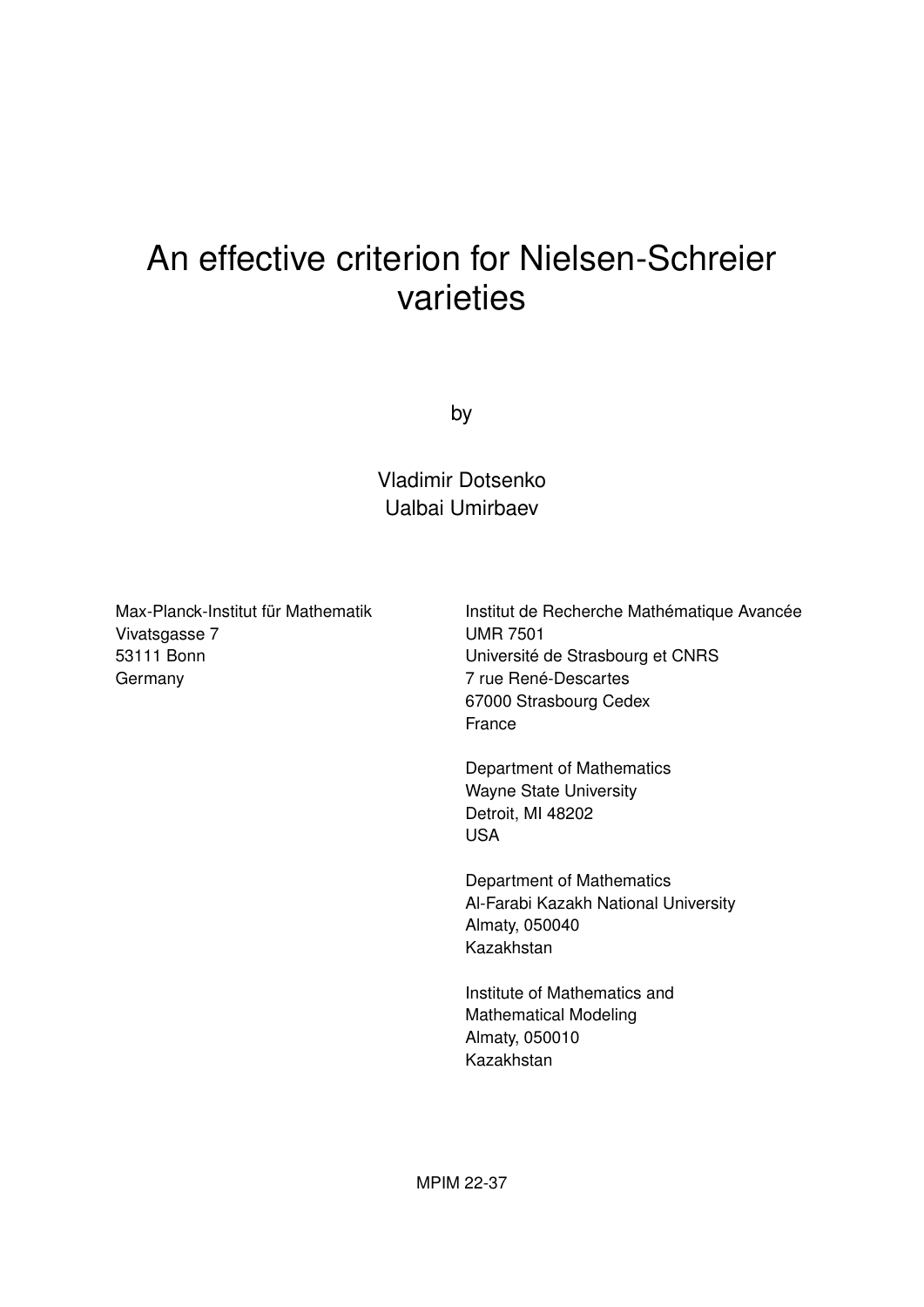# An effective criterion for Nielsen-Schreier varieties

by

Vladimir Dotsenko Ualbai Umirbaev

Max-Planck-Institut für Mathematik Vivatsgasse 7 53111 Bonn Germany

Institut de Recherche Mathématique Avancée UMR 7501 Université de Strasbourg et CNRS 7 rue René-Descartes 67000 Strasbourg Cedex France

Department of Mathematics Wayne State University Detroit, MI 48202 USA

Department of Mathematics Al-Farabi Kazakh National University Almaty, 050040 Kazakhstan

Institute of Mathematics and Mathematical Modeling Almaty, 050010 Kazakhstan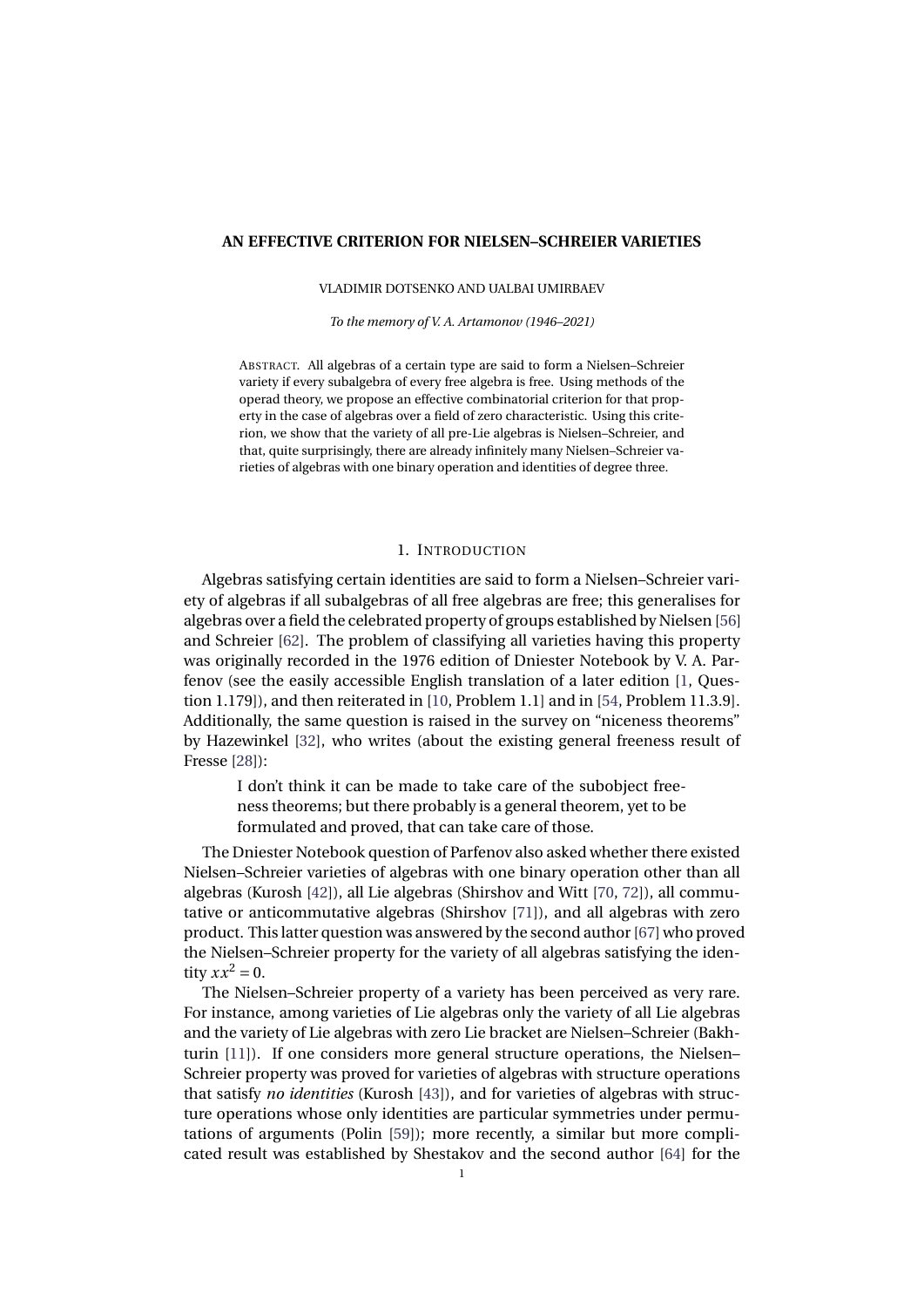#### **AN EFFECTIVE CRITERION FOR NIELSEN–SCHREIER VARIETIES**

VLADIMIR DOTSENKO AND UALBAI UMIRBAEV

*To the memory of V. A. Artamonov (1946–2021)*

ABSTRACT. All algebras of a certain type are said to form a Nielsen–Schreier variety if every subalgebra of every free algebra is free. Using methods of the operad theory, we propose an effective combinatorial criterion for that property in the case of algebras over a field of zero characteristic. Using this criterion, we show that the variety of all pre-Lie algebras is Nielsen–Schreier, and that, quite surprisingly, there are already infinitely many Nielsen–Schreier varieties of algebras with one binary operation and identities of degree three.

# 1. INTRODUCTION

Algebras satisfying certain identities are said to form a Nielsen–Schreier variety of algebras if all subalgebras of all free algebras are free; this generalises for algebras over a field the celebrated property of groups established by Nielsen [\[56\]](#page-30-0) and Schreier [\[62\]](#page-30-1). The problem of classifying all varieties having this property was originally recorded in the 1976 edition of Dniester Notebook by V. A. Parfenov (see the easily accessible English translation of a later edition [\[1,](#page-28-0) Question 1.179]), and then reiterated in [\[10,](#page-28-1) Problem 1.1] and in [\[54,](#page-30-2) Problem 11.3.9]. Additionally, the same question is raised in the survey on "niceness theorems" by Hazewinkel [\[32\]](#page-29-0), who writes (about the existing general freeness result of Fresse [\[28\]](#page-29-1)):

I don't think it can be made to take care of the subobject freeness theorems; but there probably is a general theorem, yet to be formulated and proved, that can take care of those.

The Dniester Notebook question of Parfenov also asked whether there existed Nielsen–Schreier varieties of algebras with one binary operation other than all algebras (Kurosh [\[42\]](#page-29-2)), all Lie algebras (Shirshov and Witt [\[70,](#page-30-3) [72\]](#page-30-4)), all commutative or anticommutative algebras (Shirshov [\[71\]](#page-30-5)), and all algebras with zero product. This latter question was answered by the second author [\[67\]](#page-30-6) who proved the Nielsen–Schreier property for the variety of all algebras satisfying the identity  $xx^2 = 0$ .

The Nielsen–Schreier property of a variety has been perceived as very rare. For instance, among varieties of Lie algebras only the variety of all Lie algebras and the variety of Lie algebras with zero Lie bracket are Nielsen–Schreier (Bakhturin [\[11\]](#page-28-2)). If one considers more general structure operations, the Nielsen– Schreier property was proved for varieties of algebras with structure operations that satisfy *no identities* (Kurosh [\[43\]](#page-29-3)), and for varieties of algebras with structure operations whose only identities are particular symmetries under permutations of arguments (Polin [\[59\]](#page-30-7)); more recently, a similar but more complicated result was established by Shestakov and the second author [\[64\]](#page-30-8) for the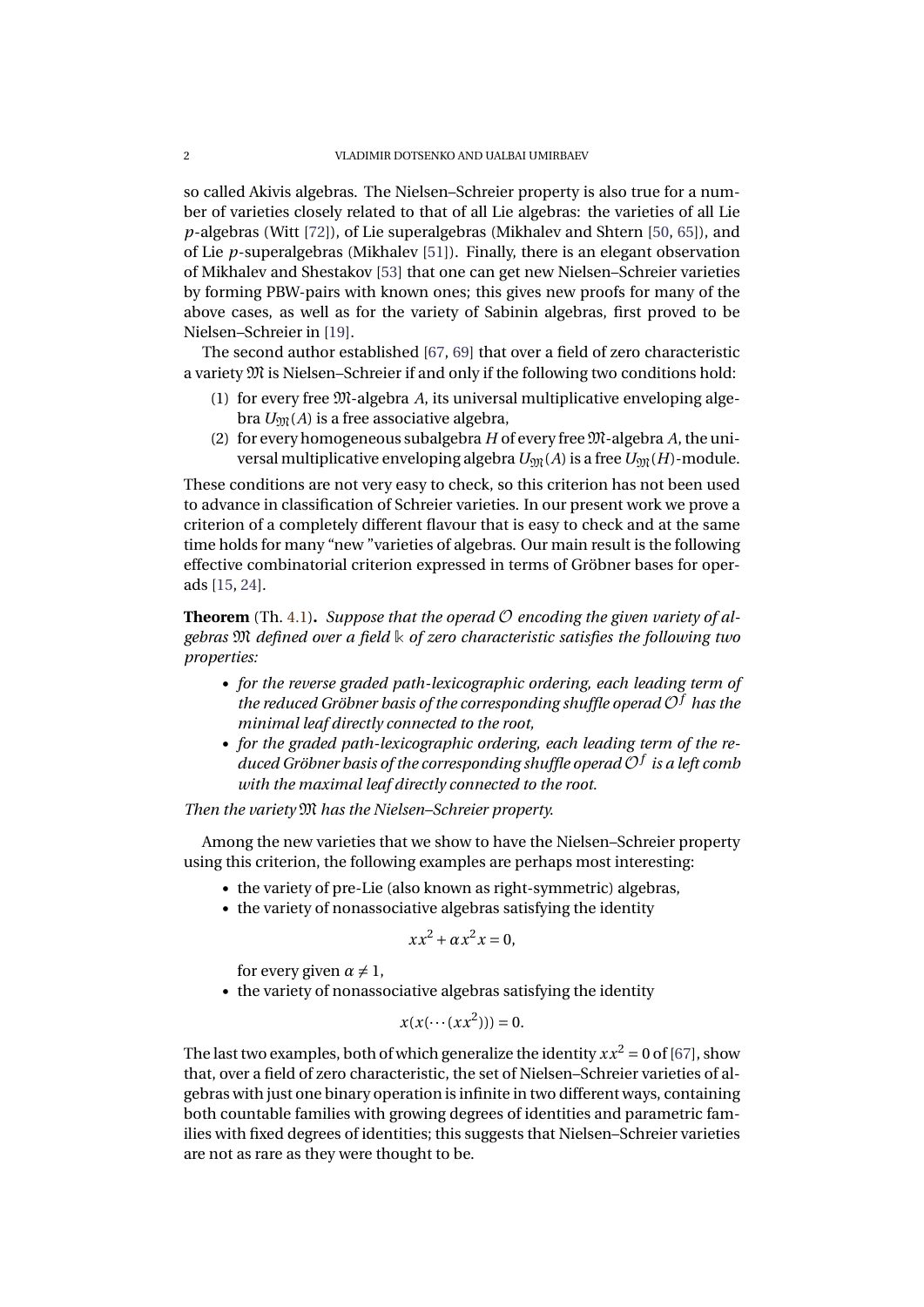so called Akivis algebras. The Nielsen–Schreier property is also true for a number of varieties closely related to that of all Lie algebras: the varieties of all Lie *p*-algebras (Witt [\[72\]](#page-30-4)), of Lie superalgebras (Mikhalev and Shtern [\[50,](#page-29-4) [65\]](#page-30-9)), and of Lie *p*-superalgebras (Mikhalev [\[51\]](#page-29-5)). Finally, there is an elegant observation of Mikhalev and Shestakov [\[53\]](#page-30-10) that one can get new Nielsen–Schreier varieties by forming PBW-pairs with known ones; this gives new proofs for many of the above cases, as well as for the variety of Sabinin algebras, first proved to be Nielsen–Schreier in [\[19\]](#page-28-3).

The second author established [\[67,](#page-30-6) [69\]](#page-30-11) that over a field of zero characteristic a variety M is Nielsen–Schreier if and only if the following two conditions hold:

- (1) for every free M-algebra *A*, its universal multiplicative enveloping algebra  $U_{\mathfrak{M}}(A)$  is a free associative algebra,
- (2) for every homogeneous subalgebra  $H$  of every free  $M$ -algebra  $A$ , the universal multiplicative enveloping algebra  $U_{\mathfrak{M}}(A)$  is a free  $U_{\mathfrak{M}}(H)$ -module.

These conditions are not very easy to check, so this criterion has not been used to advance in classification of Schreier varieties. In our present work we prove a criterion of a completely different flavour that is easy to check and at the same time holds for many "new "varieties of algebras. Our main result is the following effective combinatorial criterion expressed in terms of Gröbner bases for operads [\[15,](#page-28-4) [24\]](#page-28-5).

**Theorem** (Th. [4.1\)](#page-17-0). Suppose that the operad  $\mathcal{O}$  encoding the given variety of al*gebras* M *defined over a field* **k** *of zero characteristic satisfies the following two properties:*

- *for the reverse graded path-lexicographic ordering, each leading term of the reduced Gröbner basis of the corresponding shuffle operad* O*<sup>f</sup> has the minimal leaf directly connected to the root,*
- *for the graded path-lexicographic ordering, each leading term of the reduced Gröbner basis of the corresponding shuffle operad* O*<sup>f</sup> is a left comb with the maximal leaf directly connected to the root.*

# *Then the variety* M *has the Nielsen–Schreier property.*

Among the new varieties that we show to have the Nielsen–Schreier property using this criterion, the following examples are perhaps most interesting:

- the variety of pre-Lie (also known as right-symmetric) algebras,
- the variety of nonassociative algebras satisfying the identity

$$
xx^2 + \alpha x^2 x = 0,
$$

for every given  $\alpha \neq 1$ ,

• the variety of nonassociative algebras satisfying the identity

$$
x(x(\cdots (xx^2)))=0.
$$

The last two examples, both of which generalize the identity  $xx^2 = 0$  of [\[67\]](#page-30-6), show that, over a field of zero characteristic, the set of Nielsen–Schreier varieties of algebras with just one binary operation is infinite in two different ways, containing both countable families with growing degrees of identities and parametric families with fixed degrees of identities; this suggests that Nielsen–Schreier varieties are not as rare as they were thought to be.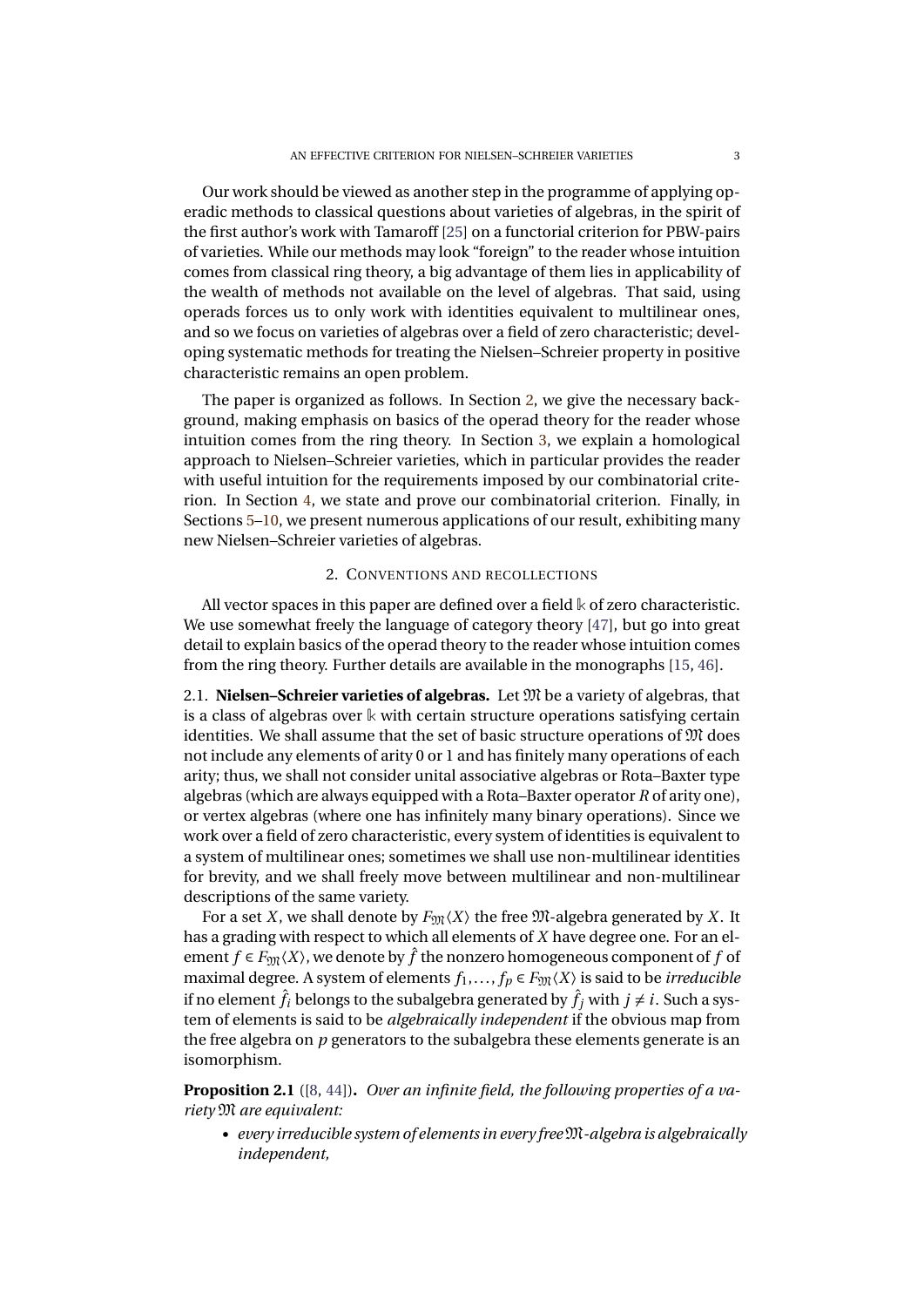Our work should be viewed as another step in the programme of applying operadic methods to classical questions about varieties of algebras, in the spirit of the first author's work with Tamaroff [\[25\]](#page-29-6) on a functorial criterion for PBW-pairs of varieties. While our methods may look "foreign" to the reader whose intuition comes from classical ring theory, a big advantage of them lies in applicability of the wealth of methods not available on the level of algebras. That said, using operads forces us to only work with identities equivalent to multilinear ones, and so we focus on varieties of algebras over a field of zero characteristic; developing systematic methods for treating the Nielsen–Schreier property in positive characteristic remains an open problem.

The paper is organized as follows. In Section [2,](#page-4-0) we give the necessary background, making emphasis on basics of the operad theory for the reader whose intuition comes from the ring theory. In Section [3,](#page-14-0) we explain a homological approach to Nielsen–Schreier varieties, which in particular provides the reader with useful intuition for the requirements imposed by our combinatorial criterion. In Section [4,](#page-16-0) we state and prove our combinatorial criterion. Finally, in Sections [5](#page-21-0)[–10,](#page-27-0) we present numerous applications of our result, exhibiting many new Nielsen–Schreier varieties of algebras.

# 2. CONVENTIONS AND RECOLLECTIONS

<span id="page-4-0"></span>All vector spaces in this paper are defined over a field **k** of zero characteristic. We use somewhat freely the language of category theory [\[47\]](#page-29-7), but go into great detail to explain basics of the operad theory to the reader whose intuition comes from the ring theory. Further details are available in the monographs [\[15,](#page-28-4) [46\]](#page-29-8).

<span id="page-4-1"></span>2.1. **Nielsen–Schreier varieties of algebras.** Let M be a variety of algebras, that is a class of algebras over **k** with certain structure operations satisfying certain identities. We shall assume that the set of basic structure operations of  $\mathfrak{M}$  does not include any elements of arity 0 or 1 and has finitely many operations of each arity; thus, we shall not consider unital associative algebras or Rota–Baxter type algebras (which are always equipped with a Rota–Baxter operator *R* of arity one), or vertex algebras (where one has infinitely many binary operations). Since we work over a field of zero characteristic, every system of identities is equivalent to a system of multilinear ones; sometimes we shall use non-multilinear identities for brevity, and we shall freely move between multilinear and non-multilinear descriptions of the same variety.

For a set *X*, we shall denote by  $F_{\text{M}}(X)$  the free  $\mathfrak{M}$ -algebra generated by *X*. It has a grading with respect to which all elements of *X* have degree one. For an element  $f \in F_{\mathfrak{M}}(X)$ , we denote by  $\hat{f}$  the nonzero homogeneous component of  $f$  of maximal degree. A system of elements  $f_1, \ldots, f_p \in F_{\mathfrak{M}}(X)$  is said to be *irreducible* if no element  $\hat{f}_i$  belongs to the subalgebra generated by  $\hat{f}_i$  with  $j \neq i$ . Such a system of elements is said to be *algebraically independent* if the obvious map from the free algebra on *p* generators to the subalgebra these elements generate is an isomorphism.

**Proposition 2.1** ([\[8,](#page-28-6) [44\]](#page-29-9))**.** *Over an infinite field, the following properties of a variety* M *are equivalent:*

• *every irreducible system of elements in every free*M*-algebra is algebraically independent,*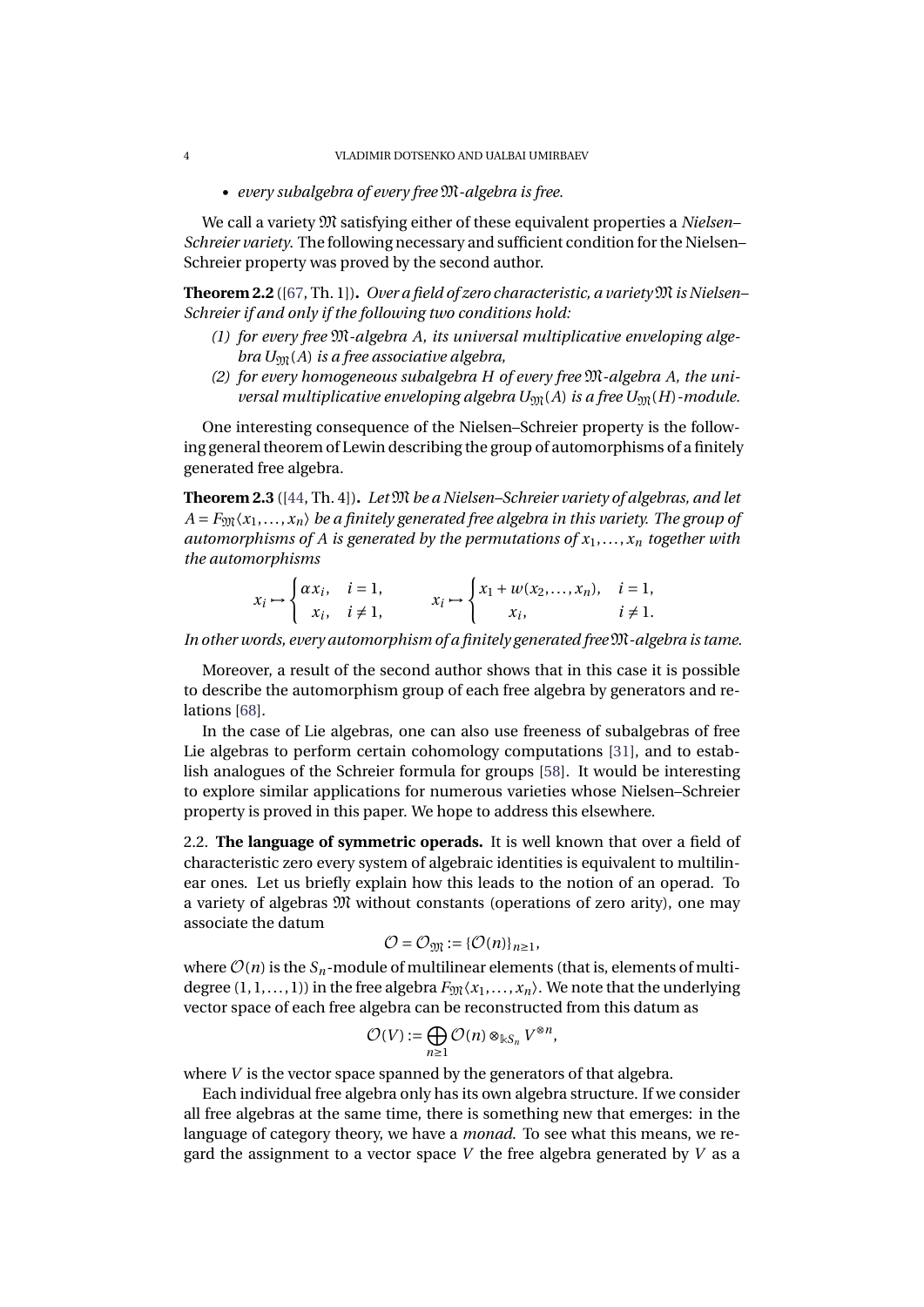• *every subalgebra of every free* M*-algebra is free.*

We call a variety M satisfying either of these equivalent properties a *Nielsen– Schreier variety*. The following necessary and sufficient condition for the Nielsen– Schreier property was proved by the second author.

<span id="page-5-0"></span>**Theorem 2.2** ([\[67,](#page-30-6) Th. 1])**.** *Over a field of zero characteristic, a variety*M*is Nielsen– Schreier if and only if the following two conditions hold:*

- *(1) for every free* M*-algebra A, its universal multiplicative enveloping algebra*  $U_{\mathfrak{M}}(A)$  *is a free associative algebra,*
- *(2) for every homogeneous subalgebra H of every free* M*-algebra A, the universal multiplicative enveloping algebra*  $U_{\mathfrak{M}}(A)$  *is a free*  $U_{\mathfrak{M}}(H)$ *-module.*

One interesting consequence of the Nielsen–Schreier property is the following general theorem of Lewin describing the group of automorphisms of a finitely generated free algebra.

**Theorem 2.3** ([\[44,](#page-29-9) Th. 4])**.** *Let* M *be a Nielsen–Schreier variety of algebras, and let*  $A = F_{\text{YM}}(x_1, \ldots, x_n)$  *be a finitely generated free algebra in this variety. The group of automorphisms of A is generated by the permutations of*  $x_1, \ldots, x_n$  *together with the automorphisms*

$$
x_i \mapsto \begin{cases} \alpha x_i, & i = 1, \\ x_i, & i \neq 1, \end{cases} \qquad x_i \mapsto \begin{cases} x_1 + w(x_2, \dots, x_n), & i = 1, \\ x_i, & i \neq 1. \end{cases}
$$

*In other words, every automorphism of a finitely generated free*M*-algebra is tame.*

Moreover, a result of the second author shows that in this case it is possible to describe the automorphism group of each free algebra by generators and relations [\[68\]](#page-30-12).

In the case of Lie algebras, one can also use freeness of subalgebras of free Lie algebras to perform certain cohomology computations [\[31\]](#page-29-10), and to establish analogues of the Schreier formula for groups [\[58\]](#page-30-13). It would be interesting to explore similar applications for numerous varieties whose Nielsen–Schreier property is proved in this paper. We hope to address this elsewhere.

2.2. **The language of symmetric operads.** It is well known that over a field of characteristic zero every system of algebraic identities is equivalent to multilinear ones. Let us briefly explain how this leads to the notion of an operad. To a variety of algebras M without constants (operations of zero arity), one may associate the datum

$$
\mathcal{O}=\mathcal{O}_{\mathfrak{M}}:=\{\mathcal{O}(n)\}_{n\geq 1},
$$

where  $\mathcal{O}(n)$  is the  $S_n$ -module of multilinear elements (that is, elements of multidegree  $(1, 1, \ldots, 1)$  in the free algebra  $F_{\mathfrak{M}}(x_1, \ldots, x_n)$ . We note that the underlying vector space of each free algebra can be reconstructed from this datum as

$$
\mathcal{O}(V) := \bigoplus_{n \geq 1} \mathcal{O}(n) \otimes_{\Bbbk S_n} V^{\otimes n},
$$

where *V* is the vector space spanned by the generators of that algebra.

Each individual free algebra only has its own algebra structure. If we consider all free algebras at the same time, there is something new that emerges: in the language of category theory, we have a *monad*. To see what this means, we regard the assignment to a vector space *V* the free algebra generated by *V* as a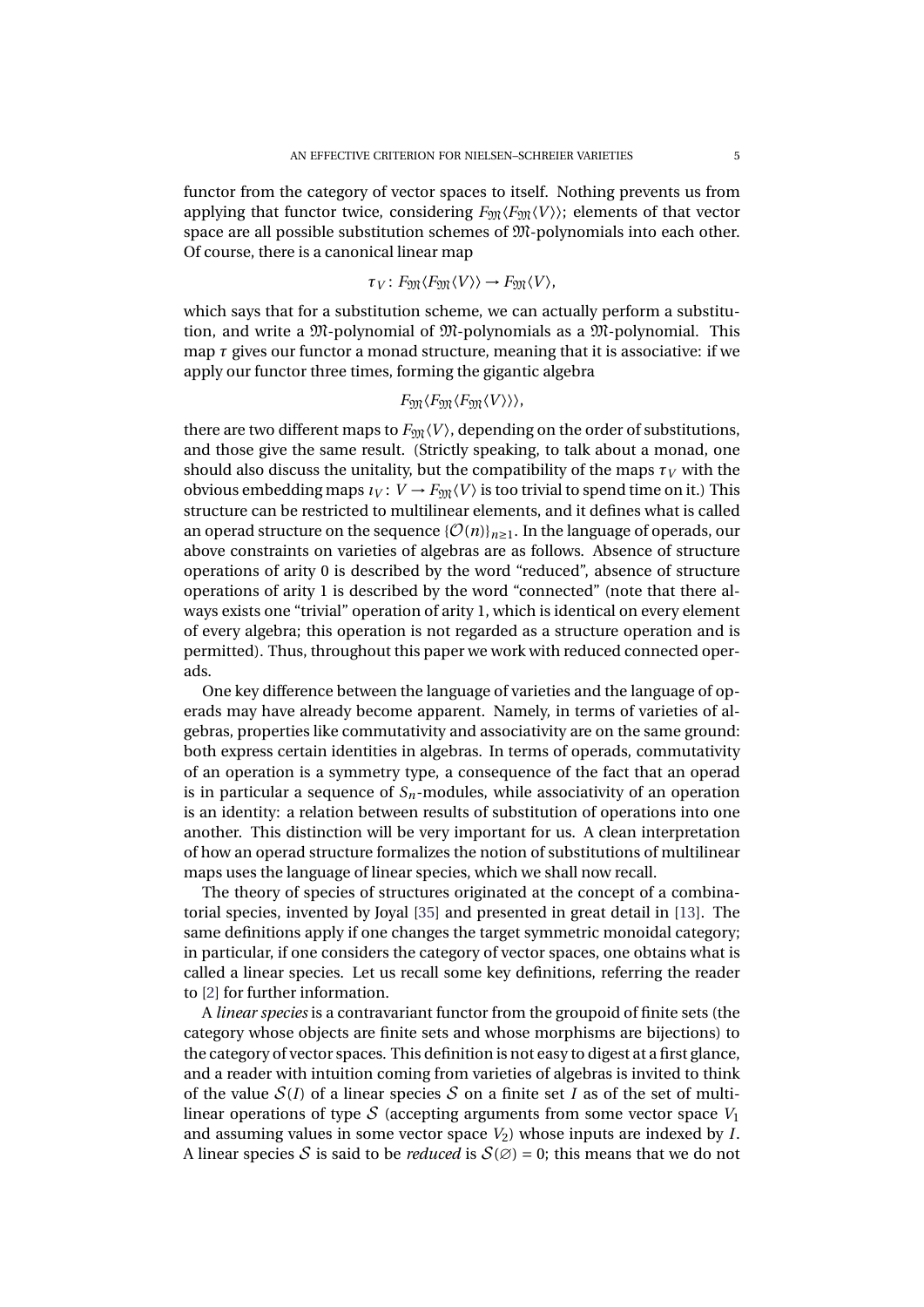functor from the category of vector spaces to itself. Nothing prevents us from applying that functor twice, considering  $F_{\mathfrak{M}}\langle F_{\mathfrak{M}}\langle V \rangle$ ; elements of that vector space are all possible substitution schemes of M-polynomials into each other. Of course, there is a canonical linear map

$$
\tau_V\colon F_{\mathfrak{M}}\langle F_{\mathfrak{M}}\langle V\rangle\rangle\to F_{\mathfrak{M}}\langle V\rangle,
$$

which says that for a substitution scheme, we can actually perform a substitution, and write a M-polynomial of M-polynomials as a M-polynomial. This map *τ* gives our functor a monad structure, meaning that it is associative: if we apply our functor three times, forming the gigantic algebra

$$
F_{\mathfrak{M}}\langle F_{\mathfrak{M}}\langle F_{\mathfrak{M}}\langle V\rangle\rangle\rangle,
$$

there are two different maps to  $F_{\mathfrak{M}}(V)$ , depending on the order of substitutions, and those give the same result. (Strictly speaking, to talk about a monad, one should also discuss the unitality, but the compatibility of the maps  $\tau_V$  with the obvious embedding maps  $\iota_V: V \to F_{\text{YM}}(V)$  is too trivial to spend time on it.) This structure can be restricted to multilinear elements, and it defines what is called an operad structure on the sequence  $\{\mathcal{O}(n)\}_{n\geq 1}$ . In the language of operads, our above constraints on varieties of algebras are as follows. Absence of structure operations of arity 0 is described by the word "reduced", absence of structure operations of arity 1 is described by the word "connected" (note that there always exists one "trivial" operation of arity 1, which is identical on every element of every algebra; this operation is not regarded as a structure operation and is permitted). Thus, throughout this paper we work with reduced connected operads.

One key difference between the language of varieties and the language of operads may have already become apparent. Namely, in terms of varieties of algebras, properties like commutativity and associativity are on the same ground: both express certain identities in algebras. In terms of operads, commutativity of an operation is a symmetry type, a consequence of the fact that an operad is in particular a sequence of  $S_n$ -modules, while associativity of an operation is an identity: a relation between results of substitution of operations into one another. This distinction will be very important for us. A clean interpretation of how an operad structure formalizes the notion of substitutions of multilinear maps uses the language of linear species, which we shall now recall.

The theory of species of structures originated at the concept of a combinatorial species, invented by Joyal [\[35\]](#page-29-11) and presented in great detail in [\[13\]](#page-28-7). The same definitions apply if one changes the target symmetric monoidal category; in particular, if one considers the category of vector spaces, one obtains what is called a linear species. Let us recall some key definitions, referring the reader to [\[2\]](#page-28-8) for further information.

A *linear species* is a contravariant functor from the groupoid of finite sets (the category whose objects are finite sets and whose morphisms are bijections) to the category of vector spaces. This definition is not easy to digest at a first glance, and a reader with intuition coming from varieties of algebras is invited to think of the value  $S(I)$  of a linear species S on a finite set I as of the set of multilinear operations of type  $S$  (accepting arguments from some vector space  $V_1$ ) and assuming values in some vector space  $V_2$ ) whose inputs are indexed by *I*. A linear species S is said to be *reduced* is  $S(\emptyset) = 0$ ; this means that we do not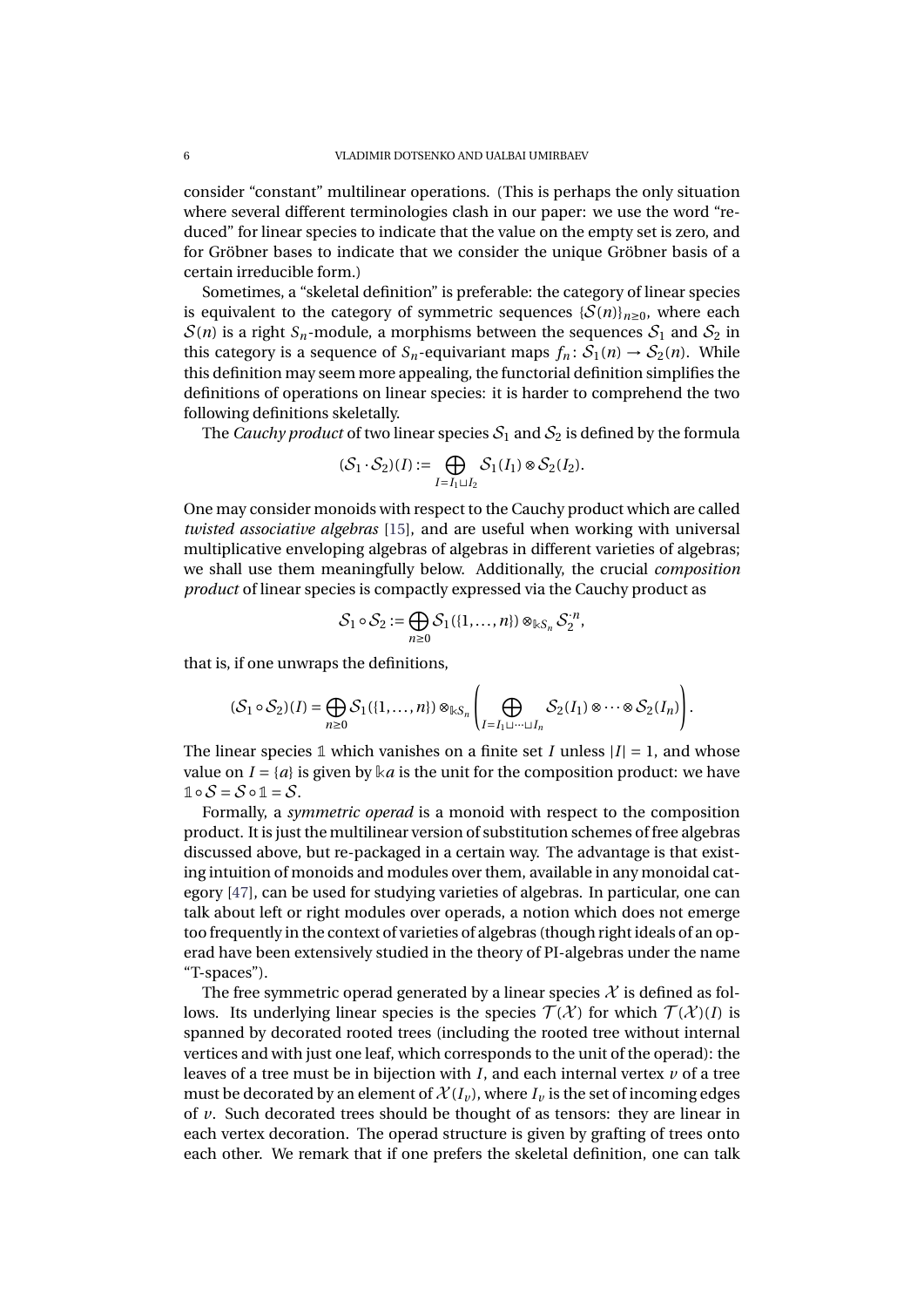consider "constant" multilinear operations. (This is perhaps the only situation where several different terminologies clash in our paper: we use the word "reduced" for linear species to indicate that the value on the empty set is zero, and for Gröbner bases to indicate that we consider the unique Gröbner basis of a certain irreducible form.)

Sometimes, a "skeletal definition" is preferable: the category of linear species is equivalent to the category of symmetric sequences  ${\mathcal{S}(n)}_{n\geq 0}$ , where each  $S(n)$  is a right  $S_n$ -module, a morphisms between the sequences  $S_1$  and  $S_2$  in this category is a sequence of  $S_n$ -equivariant maps  $f_n: S_1(n) \to S_2(n)$ . While this definition may seem more appealing, the functorial definition simplifies the definitions of operations on linear species: it is harder to comprehend the two following definitions skeletally.

The *Cauchy product* of two linear species  $S_1$  and  $S_2$  is defined by the formula

$$
(\mathcal{S}_1 \cdot \mathcal{S}_2)(I) := \bigoplus_{I=I_1 \sqcup I_2} \mathcal{S}_1(I_1) \otimes \mathcal{S}_2(I_2).
$$

One may consider monoids with respect to the Cauchy product which are called *twisted associative algebras* [\[15\]](#page-28-4), and are useful when working with universal multiplicative enveloping algebras of algebras in different varieties of algebras; we shall use them meaningfully below. Additionally, the crucial *composition product* of linear species is compactly expressed via the Cauchy product as

$$
\mathcal{S}_1\circ\mathcal{S}_2:=\bigoplus_{n\geq 0}\mathcal{S}_1(\{1,\ldots,n\})\otimes_{\Bbbk S_n}\mathcal{S}_2^{\cdot n},
$$

that is, if one unwraps the definitions,

$$
(\mathcal{S}_1 \circ \mathcal{S}_2)(I) = \bigoplus_{n \geq 0} \mathcal{S}_1(\{1,\ldots,n\}) \otimes_{\mathbb{K}S_n} \left( \bigoplus_{I=I_1 \sqcup \cdots \sqcup I_n} \mathcal{S}_2(I_1) \otimes \cdots \otimes \mathcal{S}_2(I_n) \right).
$$

The linear species 1 which vanishes on a finite set *I* unless  $|I| = 1$ , and whose value on  $I = \{a\}$  is given by  $\& a$  is the unit for the composition product: we have  $\mathbb{1} \circ \mathcal{S} = \mathcal{S} \circ \mathbb{1} = \mathcal{S}.$ 

Formally, a *symmetric operad* is a monoid with respect to the composition product. It is just the multilinear version of substitution schemes of free algebras discussed above, but re-packaged in a certain way. The advantage is that existing intuition of monoids and modules over them, available in any monoidal category [\[47\]](#page-29-7), can be used for studying varieties of algebras. In particular, one can talk about left or right modules over operads, a notion which does not emerge too frequently in the context of varieties of algebras (though right ideals of an operad have been extensively studied in the theory of PI-algebras under the name "T-spaces").

The free symmetric operad generated by a linear species  $\mathcal X$  is defined as follows. Its underlying linear species is the species  $\mathcal{T}(\mathcal{X})$  for which  $\mathcal{T}(\mathcal{X})(I)$  is spanned by decorated rooted trees (including the rooted tree without internal vertices and with just one leaf, which corresponds to the unit of the operad): the leaves of a tree must be in bijection with *I*, and each internal vertex *v* of a tree must be decorated by an element of  $\mathcal{X}(I_\nu)$ , where  $I_\nu$  is the set of incoming edges of *v*. Such decorated trees should be thought of as tensors: they are linear in each vertex decoration. The operad structure is given by grafting of trees onto each other. We remark that if one prefers the skeletal definition, one can talk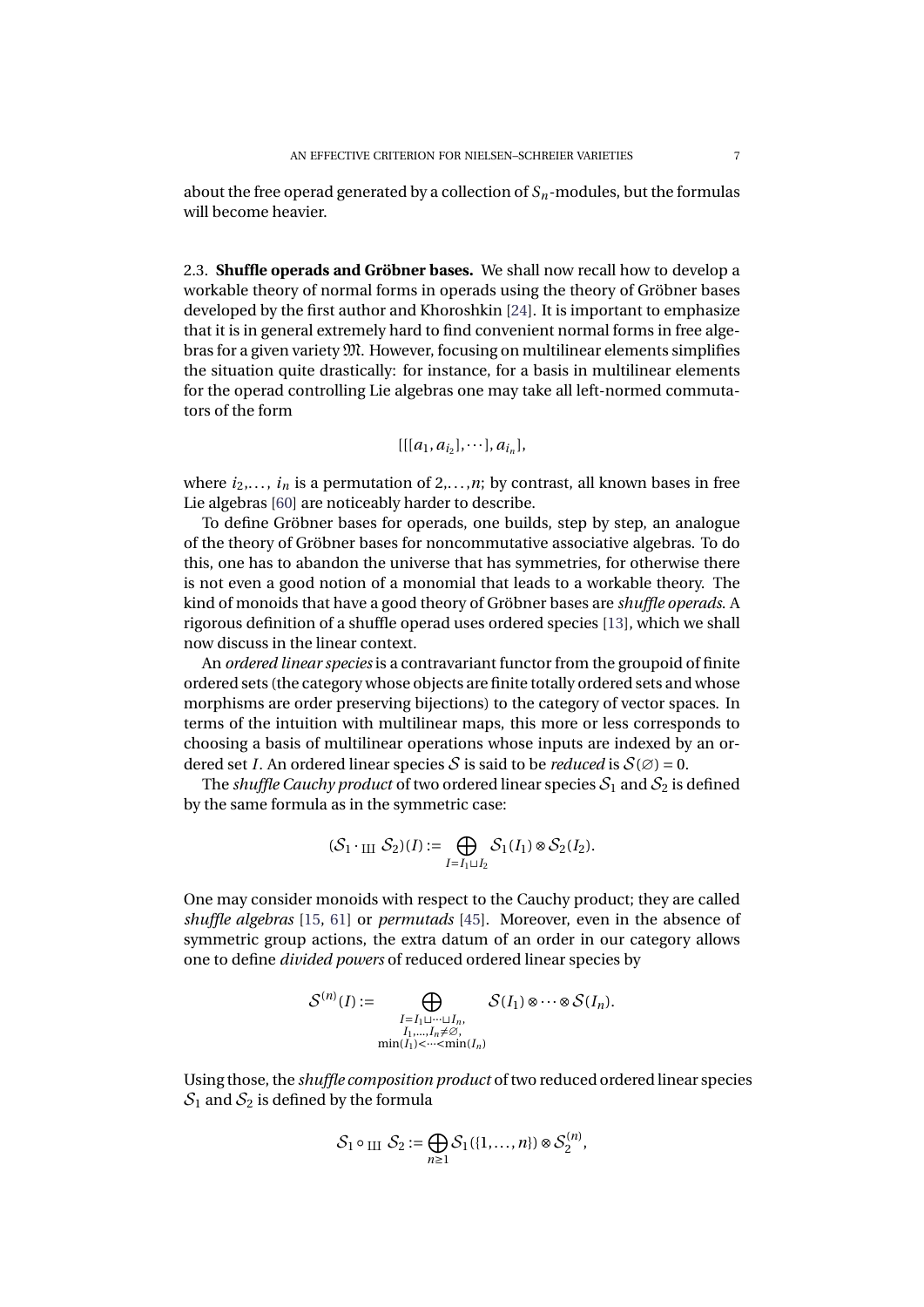about the free operad generated by a collection of *Sn*-modules, but the formulas will become heavier.

2.3. **Shuffle operads and Gröbner bases.** We shall now recall how to develop a workable theory of normal forms in operads using the theory of Gröbner bases developed by the first author and Khoroshkin [\[24\]](#page-28-5). It is important to emphasize that it is in general extremely hard to find convenient normal forms in free algebras for a given variety M. However, focusing on multilinear elements simplifies the situation quite drastically: for instance, for a basis in multilinear elements for the operad controlling Lie algebras one may take all left-normed commutators of the form

$$
[[[a_1, a_{i_2}], \cdots], a_{i_n}],
$$

where  $i_2, \ldots, i_n$  is a permutation of  $2, \ldots, n$ ; by contrast, all known bases in free Lie algebras [\[60\]](#page-30-14) are noticeably harder to describe.

To define Gröbner bases for operads, one builds, step by step, an analogue of the theory of Gröbner bases for noncommutative associative algebras. To do this, one has to abandon the universe that has symmetries, for otherwise there is not even a good notion of a monomial that leads to a workable theory. The kind of monoids that have a good theory of Gröbner bases are *shuffle operads*. A rigorous definition of a shuffle operad uses ordered species [\[13\]](#page-28-7), which we shall now discuss in the linear context.

An *ordered linear species* is a contravariant functor from the groupoid of finite ordered sets (the category whose objects are finite totally ordered sets and whose morphisms are order preserving bijections) to the category of vector spaces. In terms of the intuition with multilinear maps, this more or less corresponds to choosing a basis of multilinear operations whose inputs are indexed by an ordered set *I*. An ordered linear species S is said to be *reduced* is  $S(\emptyset) = 0$ .

The *shuffle Cauchy product* of two ordered linear species  $S_1$  and  $S_2$  is defined by the same formula as in the symmetric case:

$$
(\mathcal{S}_1 \cdot_{\text{III}} \mathcal{S}_2)(I) := \bigoplus_{I=I_1 \sqcup I_2} \mathcal{S}_1(I_1) \otimes \mathcal{S}_2(I_2).
$$

One may consider monoids with respect to the Cauchy product; they are called *shuffle algebras* [\[15,](#page-28-4) [61\]](#page-30-15) or *permutads* [\[45\]](#page-29-12). Moreover, even in the absence of symmetric group actions, the extra datum of an order in our category allows one to define *divided powers* of reduced ordered linear species by

$$
\mathcal{S}^{(n)}(I) := \bigoplus_{\substack{I = I_1 \sqcup \dots \sqcup I_n, \\ I_1, \dots, I_n \neq \emptyset, \\ \min(I_1) < \dots < \min(I_n)}} \mathcal{S}(I_1) \otimes \dots \otimes \mathcal{S}(I_n).
$$

Using those, the *shuffle composition product* of two reduced ordered linear species  $S_1$  and  $S_2$  is defined by the formula

$$
\mathcal{S}_1 \circ \text{III } \mathcal{S}_2 := \bigoplus_{n \geq 1} \mathcal{S}_1(\{1,\ldots,n\}) \otimes \mathcal{S}_2^{(n)},
$$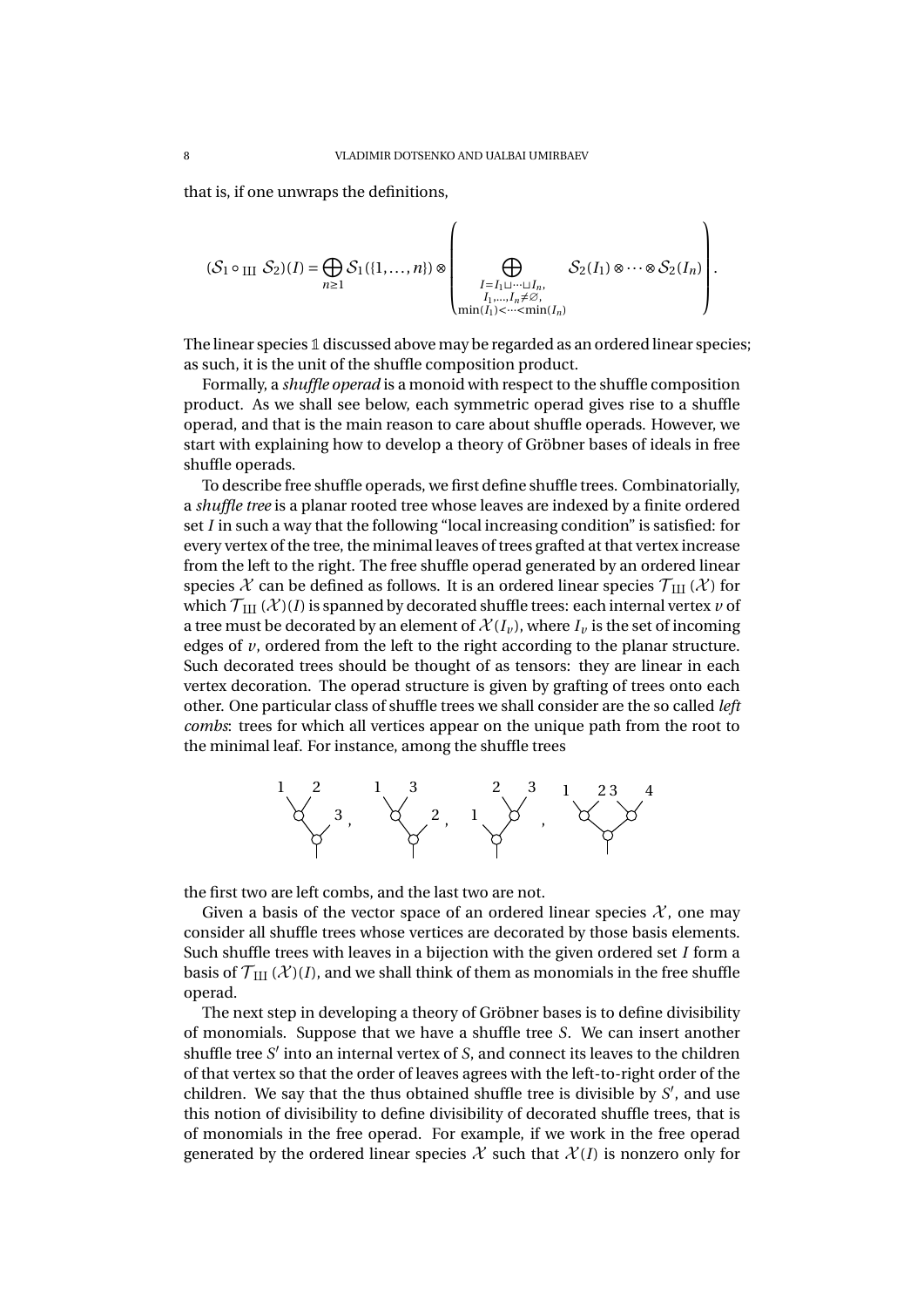that is, if one unwraps the definitions,

$$
(S_1 \circ \text{III } S_2)(I) = \bigoplus_{n \geq 1} S_1(\{1, ..., n\}) \otimes \left(\bigoplus_{\substack{I = I_1 \sqcup \dots \sqcup I_n, \\ I_1, ..., I_n \neq S, \\ \min(I_1) < \dots < \min(I_n)}} S_2(I_1) \otimes \dots \otimes S_2(I_n)\right).
$$

The linear species **1** discussed above may be regarded as an ordered linear species; as such, it is the unit of the shuffle composition product.

Formally, a *shuffle operad* is a monoid with respect to the shuffle composition product. As we shall see below, each symmetric operad gives rise to a shuffle operad, and that is the main reason to care about shuffle operads. However, we start with explaining how to develop a theory of Gröbner bases of ideals in free shuffle operads.

To describe free shuffle operads, we first define shuffle trees. Combinatorially, a *shuffle tree* is a planar rooted tree whose leaves are indexed by a finite ordered set *I* in such a way that the following "local increasing condition" is satisfied: for every vertex of the tree, the minimal leaves of trees grafted at that vertex increase from the left to the right. The free shuffle operad generated by an ordered linear species  $\mathcal X$  can be defined as follows. It is an ordered linear species  $\mathcal T_{\rm III}(\mathcal X)$  for which  $\mathcal{T}_{\text{III}}(\mathcal{X})(I)$  is spanned by decorated shuffle trees: each internal vertex  $\nu$  of a tree must be decorated by an element of  $\mathcal{X}(I_{\nu})$ , where  $I_{\nu}$  is the set of incoming edges of *v*, ordered from the left to the right according to the planar structure. Such decorated trees should be thought of as tensors: they are linear in each vertex decoration. The operad structure is given by grafting of trees onto each other. One particular class of shuffle trees we shall consider are the so called *left combs*: trees for which all vertices appear on the unique path from the root to the minimal leaf. For instance, among the shuffle trees



the first two are left combs, and the last two are not.

Given a basis of the vector space of an ordered linear species  $\mathcal{X}$ , one may consider all shuffle trees whose vertices are decorated by those basis elements. Such shuffle trees with leaves in a bijection with the given ordered set *I* form a basis of  $\mathcal{T}_{III}(\mathcal{X})(I)$ , and we shall think of them as monomials in the free shuffle operad.

The next step in developing a theory of Gröbner bases is to define divisibility of monomials. Suppose that we have a shuffle tree *S*. We can insert another shuffle tree  $S'$  into an internal vertex of  $S$ , and connect its leaves to the children of that vertex so that the order of leaves agrees with the left-to-right order of the children. We say that the thus obtained shuffle tree is divisible by  $S'$ , and use this notion of divisibility to define divisibility of decorated shuffle trees, that is of monomials in the free operad. For example, if we work in the free operad generated by the ordered linear species  $\mathcal X$  such that  $\mathcal X(I)$  is nonzero only for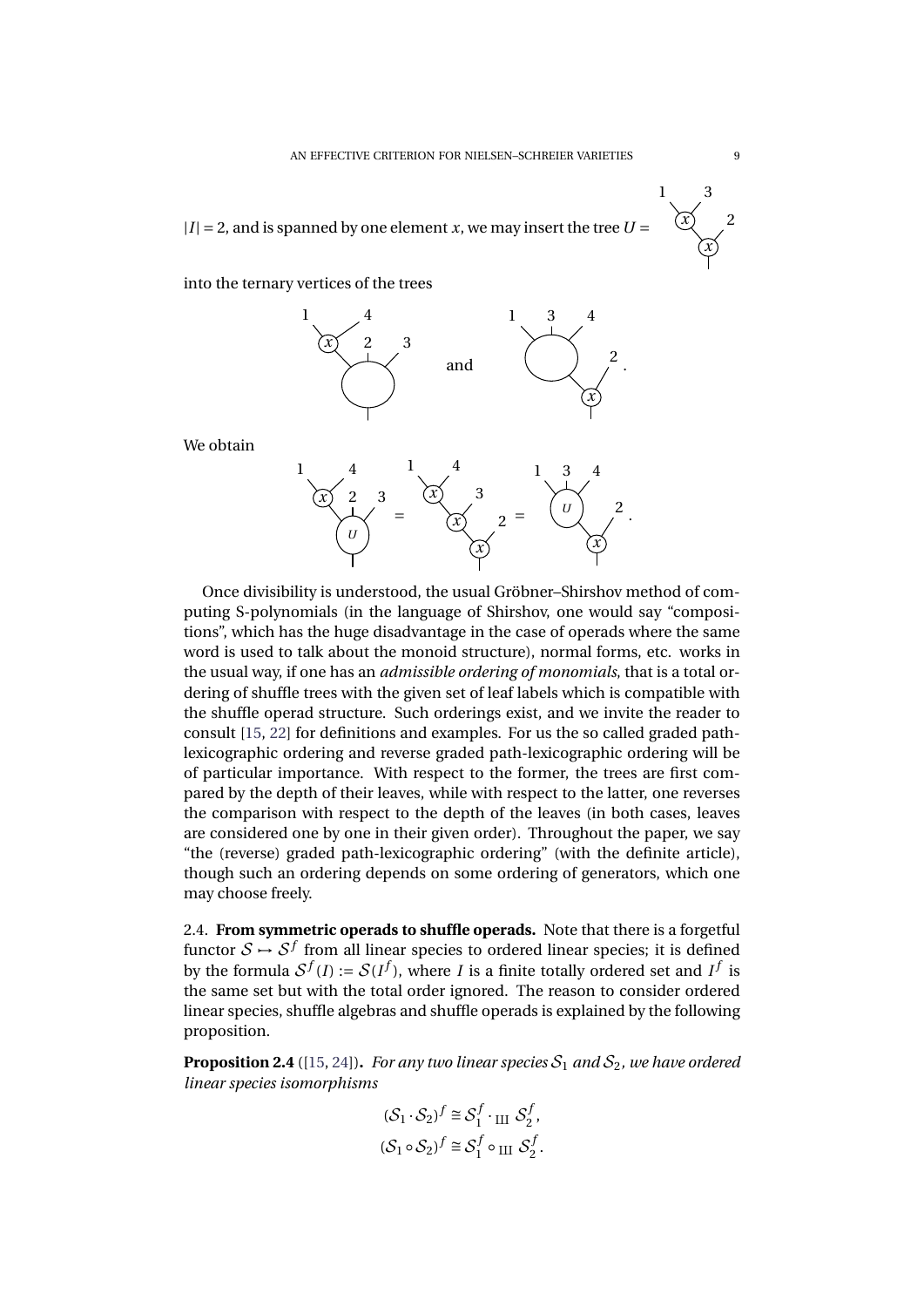$|I| = 2$ , and is spanned by one element *x*, we may insert the tree  $U =$ 

into the ternary vertices of the trees



We obtain



Once divisibility is understood, the usual Gröbner–Shirshov method of computing S-polynomials (in the language of Shirshov, one would say "compositions", which has the huge disadvantage in the case of operads where the same word is used to talk about the monoid structure), normal forms, etc. works in the usual way, if one has an *admissible ordering of monomials*, that is a total ordering of shuffle trees with the given set of leaf labels which is compatible with the shuffle operad structure. Such orderings exist, and we invite the reader to consult [\[15,](#page-28-4) [22\]](#page-28-9) for definitions and examples. For us the so called graded pathlexicographic ordering and reverse graded path-lexicographic ordering will be of particular importance. With respect to the former, the trees are first compared by the depth of their leaves, while with respect to the latter, one reverses the comparison with respect to the depth of the leaves (in both cases, leaves are considered one by one in their given order). Throughout the paper, we say "the (reverse) graded path-lexicographic ordering" (with the definite article), though such an ordering depends on some ordering of generators, which one may choose freely.

2.4. **From symmetric operads to shuffle operads.** Note that there is a forgetful functor  $\mathcal{S} \mapsto \mathcal{S}^f$  from all linear species to ordered linear species; it is defined by the formula  $S^f(I) := S(I^f)$ , where *I* is a finite totally ordered set and *If* is the same set but with the total order ignored. The reason to consider ordered linear species, shuffle algebras and shuffle operads is explained by the following proposition.

**Proposition 2.4** ([\[15,](#page-28-4) [24\]](#page-28-5)). *For any two linear species*  $S_1$  *and*  $S_2$ *, we have ordered linear species isomorphisms*

$$
\begin{aligned} (\mathcal{S}_1 \cdot \mathcal{S}_2)^f &\cong \mathcal{S}_1^f \cdot_{\text{III}} \mathcal{S}_2^f, \\ (\mathcal{S}_1 \circ \mathcal{S}_2)^f &\cong \mathcal{S}_1^f \circ_{\text{III}} \mathcal{S}_2^f. \end{aligned}
$$

*x* 2

*x*

1 3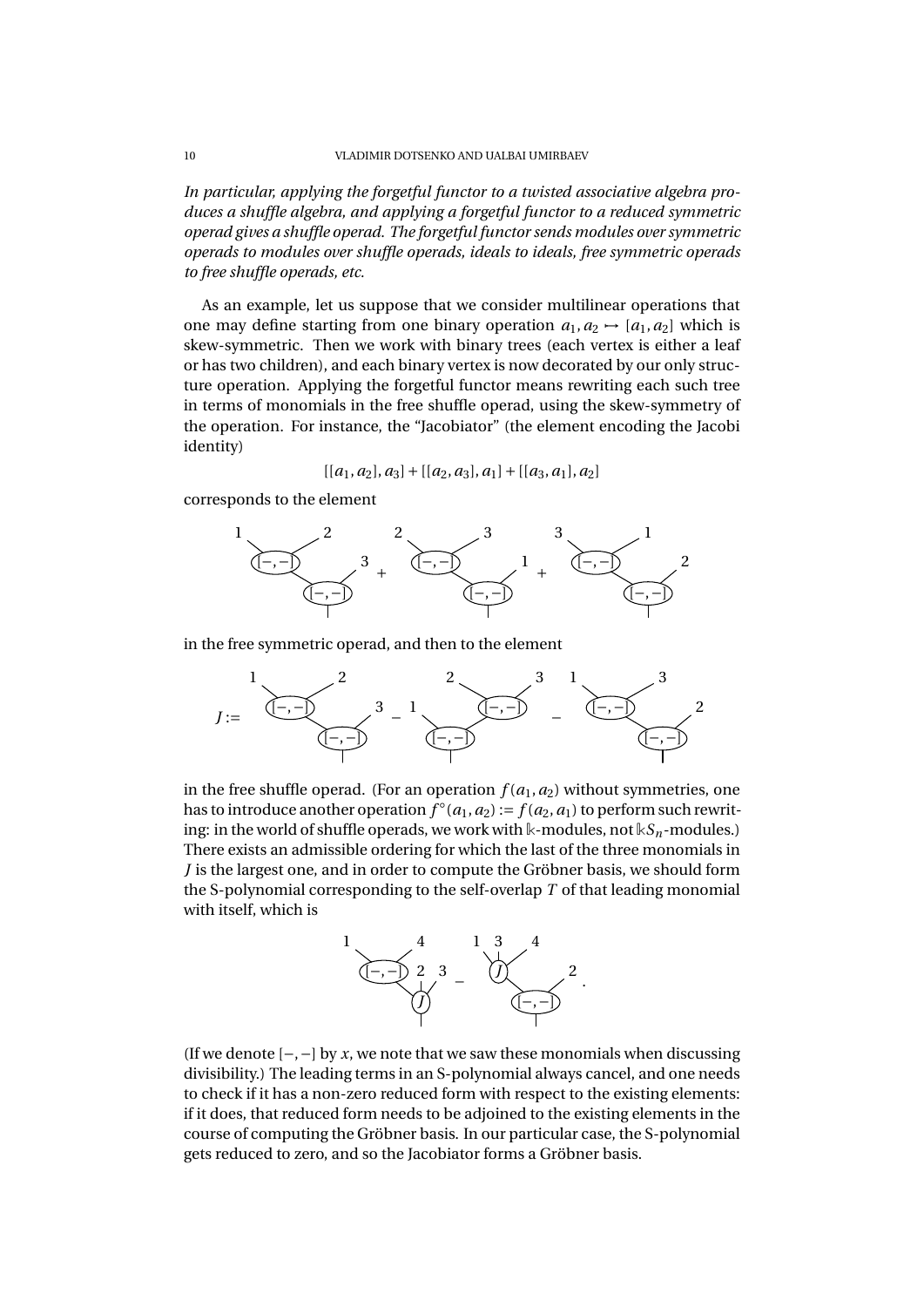*In particular, applying the forgetful functor to a twisted associative algebra produces a shuffle algebra, and applying a forgetful functor to a reduced symmetric operad gives a shuffle operad. The forgetful functor sends modules over symmetric operads to modules over shuffle operads, ideals to ideals, free symmetric operads to free shuffle operads, etc.*

As an example, let us suppose that we consider multilinear operations that one may define starting from one binary operation  $a_1, a_2 \rightarrow [a_1, a_2]$  which is skew-symmetric. Then we work with binary trees (each vertex is either a leaf or has two children), and each binary vertex is now decorated by our only structure operation. Applying the forgetful functor means rewriting each such tree in terms of monomials in the free shuffle operad, using the skew-symmetry of the operation. For instance, the "Jacobiator" (the element encoding the Jacobi identity)

$$
[[a_1,a_2],a_3]+[[a_2,a_3],a_1]+[[a_3,a_1],a_2]
$$

corresponds to the element



in the free symmetric operad, and then to the element

$$
J := \begin{matrix} 1 & 2 & 2 & 3 & 1 \\ \hline (-,-) & 3 & 1 & 3 \\ \hline (-,-) & 1 & 1 & 1 \\ \hline 1 & 1 & 1 & 1 \end{matrix}
$$

in the free shuffle operad. (For an operation  $f(a_1, a_2)$  without symmetries, one has to introduce another operation  $f^{\circ}(a_1, a_2) := f(a_2, a_1)$  to perform such rewriting: in the world of shuffle operads, we work with  $\Bbbk$ -modules, not  $\Bbbk S_n$ -modules.) There exists an admissible ordering for which the last of the three monomials in *J* is the largest one, and in order to compute the Gröbner basis, we should form the S-polynomial corresponding to the self-overlap *T* of that leading monomial with itself, which is



(If we denote [−,−] by *x*, we note that we saw these monomials when discussing divisibility.) The leading terms in an S-polynomial always cancel, and one needs to check if it has a non-zero reduced form with respect to the existing elements: if it does, that reduced form needs to be adjoined to the existing elements in the course of computing the Gröbner basis. In our particular case, the S-polynomial gets reduced to zero, and so the Jacobiator forms a Gröbner basis.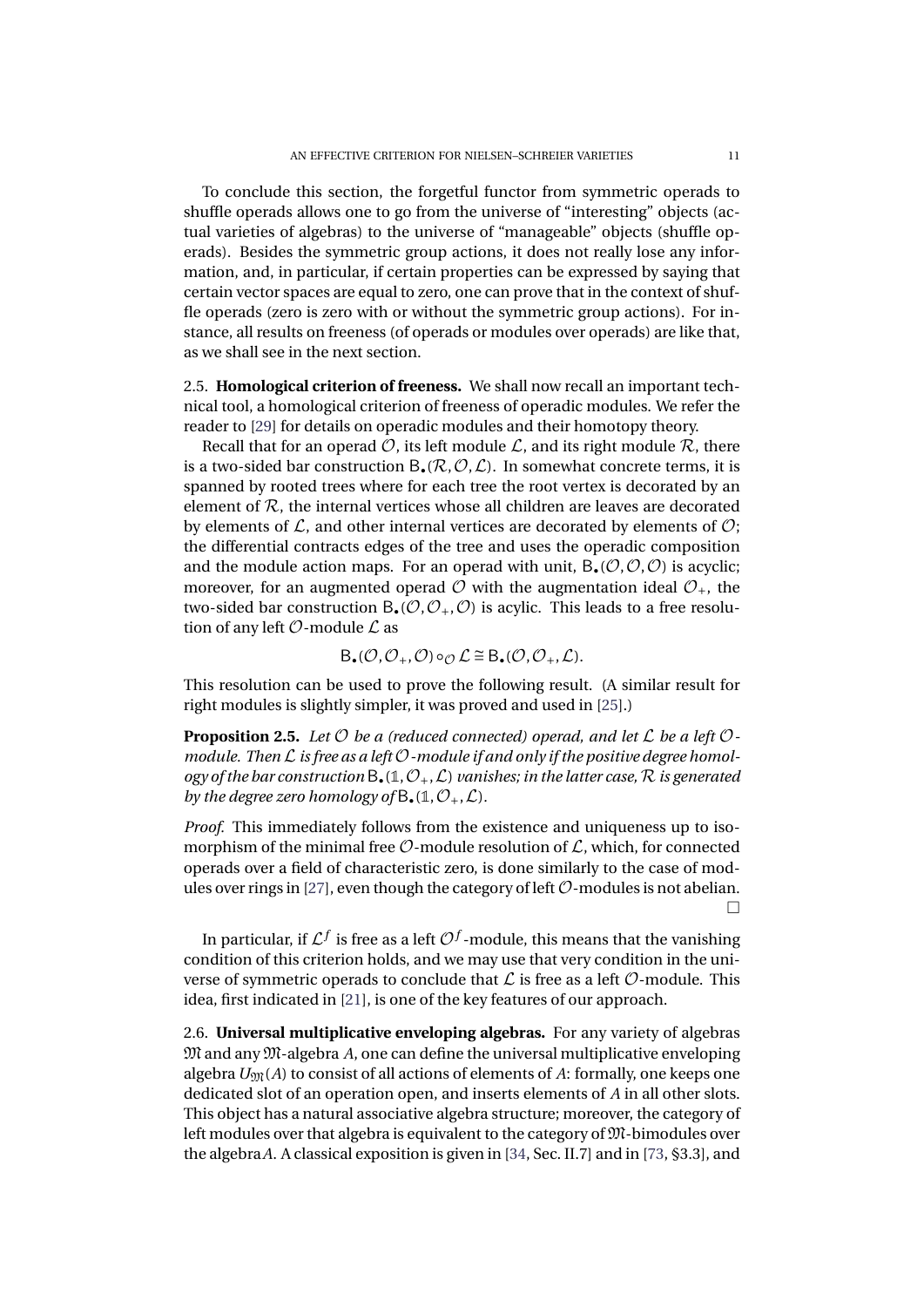To conclude this section, the forgetful functor from symmetric operads to shuffle operads allows one to go from the universe of "interesting" objects (actual varieties of algebras) to the universe of "manageable" objects (shuffle operads). Besides the symmetric group actions, it does not really lose any information, and, in particular, if certain properties can be expressed by saying that certain vector spaces are equal to zero, one can prove that in the context of shuffle operads (zero is zero with or without the symmetric group actions). For instance, all results on freeness (of operads or modules over operads) are like that, as we shall see in the next section.

2.5. **Homological criterion of freeness.** We shall now recall an important technical tool, a homological criterion of freeness of operadic modules. We refer the reader to [\[29\]](#page-29-13) for details on operadic modules and their homotopy theory.

Recall that for an operad  $\mathcal{O}$ , its left module  $\mathcal{L}$ , and its right module  $\mathcal{R}$ , there is a two-sided bar construction  $B_{\bullet}(\mathcal{R}, \mathcal{O}, \mathcal{L})$ . In somewhat concrete terms, it is spanned by rooted trees where for each tree the root vertex is decorated by an element of  $R$ , the internal vertices whose all children are leaves are decorated by elements of  $\mathcal{L}$ , and other internal vertices are decorated by elements of  $\mathcal{O}$ ; the differential contracts edges of the tree and uses the operadic composition and the module action maps. For an operad with unit,  $B_{\bullet}(\mathcal{O}, \mathcal{O}, \mathcal{O})$  is acyclic; moreover, for an augmented operad  $\mathcal O$  with the augmentation ideal  $\mathcal O_+$ , the two-sided bar construction  $B_{\bullet}(\mathcal{O}, \mathcal{O}_+, \mathcal{O})$  is acylic. This leads to a free resolution of any left  $\mathcal O$ -module  $\mathcal L$  as

$$
B_{\bullet}(\mathcal{O}, \mathcal{O}_{+}, \mathcal{O}) \circ_{\mathcal{O}} \mathcal{L} \cong B_{\bullet}(\mathcal{O}, \mathcal{O}_{+}, \mathcal{L}).
$$

This resolution can be used to prove the following result. (A similar result for right modules is slightly simpler, it was proved and used in [\[25\]](#page-29-6).)

**Proposition 2.5.** Let  $\mathcal{O}$  be a (reduced connected) operad, and let  $\mathcal{L}$  be a left  $\mathcal{O}$ *module. Then* L *is free as a left* O*-module if and only if the positive degree homol-* $\log$  *ogy of the bar construction*  $B_{\bullet}(\mathbb{1}, \mathcal{O}_{+}, \mathcal{L})$  *vanishes; in the latter case,*  $\mathcal{R}$  *is generated by the degree zero homology of*  $B_*(1, \mathcal{O}_+, \mathcal{L})$ *.* 

*Proof.* This immediately follows from the existence and uniqueness up to isomorphism of the minimal free  $\mathcal{O}$ -module resolution of  $\mathcal{L}$ , which, for connected operads over a field of characteristic zero, is done similarly to the case of mod-ules over rings in [\[27\]](#page-29-14), even though the category of left  $\mathcal{O}$ -modules is not abelian.  $\Box$ 

In particular, if  $\mathcal{L}^f$  is free as a left  $\mathcal{O}^f$ -module, this means that the vanishing condition of this criterion holds, and we may use that very condition in the universe of symmetric operads to conclude that  $\mathcal L$  is free as a left  $\mathcal O$ -module. This idea, first indicated in [\[21\]](#page-28-10), is one of the key features of our approach.

2.6. **Universal multiplicative enveloping algebras.** For any variety of algebras M and any M-algebra *A*, one can define the universal multiplicative enveloping algebra  $U_{\mathfrak{M}}(A)$  to consist of all actions of elements of A: formally, one keeps one dedicated slot of an operation open, and inserts elements of *A* in all other slots. This object has a natural associative algebra structure; moreover, the category of left modules over that algebra is equivalent to the category of  $\mathfrak M$ -bimodules over the algebra*A*. A classical exposition is given in [\[34,](#page-29-15) Sec. II.7] and in [\[73,](#page-30-16) §3.3], and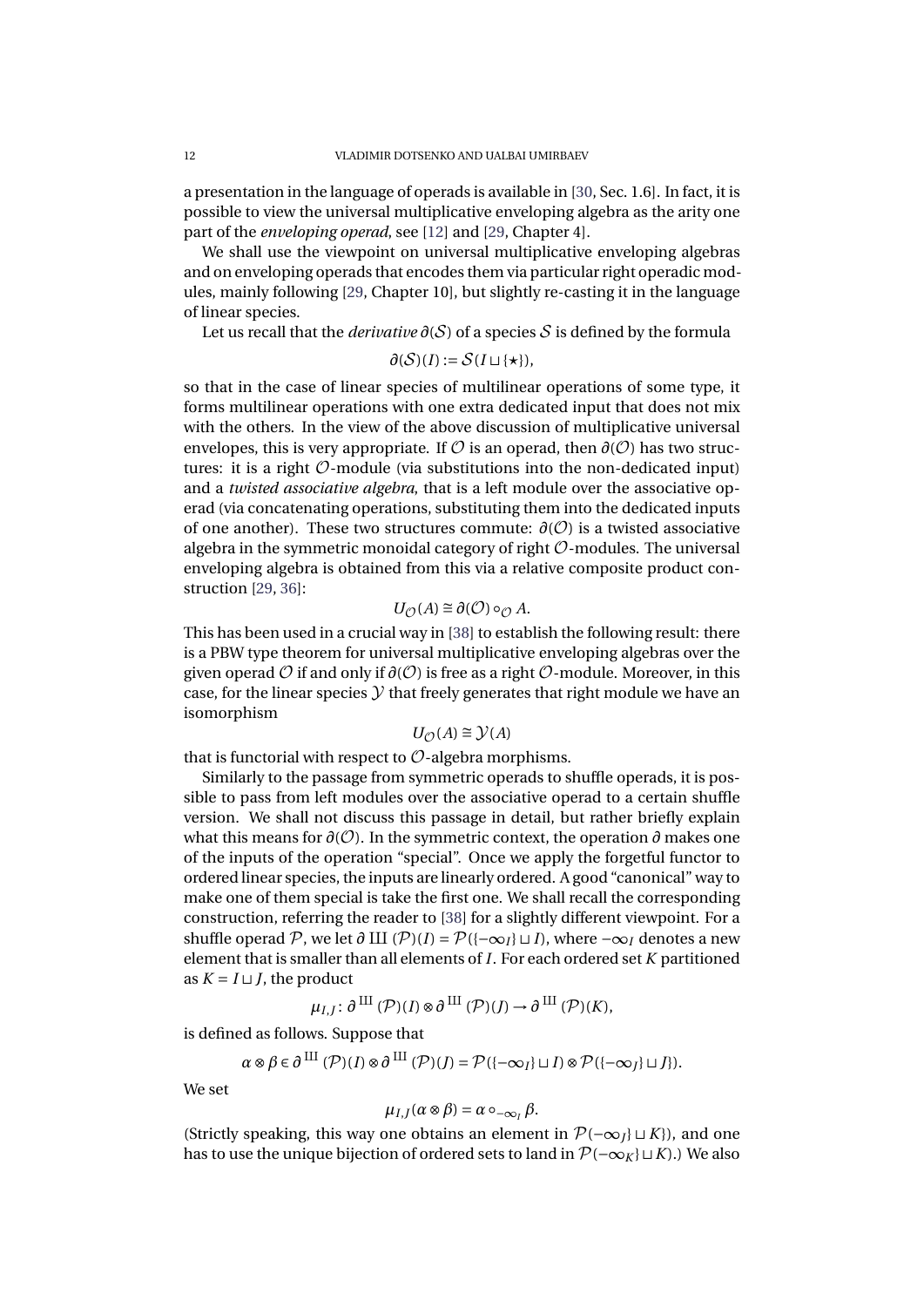a presentation in the language of operads is available in [\[30,](#page-29-16) Sec. 1.6]. In fact, it is possible to view the universal multiplicative enveloping algebra as the arity one part of the *enveloping operad*, see [\[12\]](#page-28-11) and [\[29,](#page-29-13) Chapter 4].

We shall use the viewpoint on universal multiplicative enveloping algebras and on enveloping operads that encodes them via particular right operadic modules, mainly following [\[29,](#page-29-13) Chapter 10], but slightly re-casting it in the language of linear species.

Let us recall that the *derivative ∂*(S) of a species S is defined by the formula

$$
\partial(\mathcal{S})(I) := \mathcal{S}(I \sqcup \{\star\}),
$$

so that in the case of linear species of multilinear operations of some type, it forms multilinear operations with one extra dedicated input that does not mix with the others. In the view of the above discussion of multiplicative universal envelopes, this is very appropriate. If  $\mathcal O$  is an operad, then  $\partial(\mathcal O)$  has two structures: it is a right  $\mathcal{O}$ -module (via substitutions into the non-dedicated input) and a *twisted associative algebra*, that is a left module over the associative operad (via concatenating operations, substituting them into the dedicated inputs of one another). These two structures commute: *∂*(O) is a twisted associative algebra in the symmetric monoidal category of right  $\mathcal O$ -modules. The universal enveloping algebra is obtained from this via a relative composite product construction [\[29,](#page-29-13) [36\]](#page-29-17):

$$
U_{\mathcal{O}}(A) \cong \partial(\mathcal{O}) \circ_{\mathcal{O}} A.
$$

This has been used in a crucial way in [\[38\]](#page-29-18) to establish the following result: there is a PBW type theorem for universal multiplicative enveloping algebras over the given operad  $\mathcal O$  if and only if  $\partial(\mathcal O)$  is free as a right  $\mathcal O$ -module. Moreover, in this case, for the linear species  $\mathcal Y$  that freely generates that right module we have an isomorphism

$$
U_{\mathcal{O}}(A) \cong \mathcal{Y}(A)
$$

that is functorial with respect to  $\mathcal{O}$ -algebra morphisms.

Similarly to the passage from symmetric operads to shuffle operads, it is possible to pass from left modules over the associative operad to a certain shuffle version. We shall not discuss this passage in detail, but rather briefly explain what this means for *∂*(O). In the symmetric context, the operation *∂* makes one of the inputs of the operation "special". Once we apply the forgetful functor to ordered linear species, the inputs are linearly ordered. A good "canonical" way to make one of them special is take the first one. We shall recall the corresponding construction, referring the reader to [\[38\]](#page-29-18) for a slightly different viewpoint. For a shuffle operad P, we let  $\partial$  III (P)(*I*) =  $\mathcal{P}(\{-\infty_I\} \sqcup I)$ , where  $-\infty_I$  denotes a new element that is smaller than all elements of *I*. For each ordered set *K* partitioned as  $K = I \sqcup I$ , the product

$$
\mu_{I,J}\colon \partial \,^{\mathrm{III}} \, (\mathcal{P})(I) \otimes \partial^{\, \mathrm{III}} \, (\mathcal{P})(J) \xrightarrow{\;\;}{\;\;}{\;\;}\partial^{\, \mathrm{III}} \, (\mathcal{P})(K),
$$

is defined as follows. Suppose that

$$
\alpha \otimes \beta \in \partial^{III}(\mathcal{P})(I) \otimes \partial^{III}(\mathcal{P})(J) = \mathcal{P}(\{-\infty_I\} \sqcup I) \otimes \mathcal{P}(\{-\infty_J\} \sqcup J\}).
$$

We set

$$
\mu_{I,J}(\alpha\otimes\beta)=\alpha\circ_{-\infty_I}\beta.
$$

(Strictly speaking, this way one obtains an element in  $\mathcal{P}(-\infty_I] \sqcup K_I$ ), and one has to use the unique bijection of ordered sets to land in  $\mathcal{P}(-\infty_K] \sqcup K$ ).) We also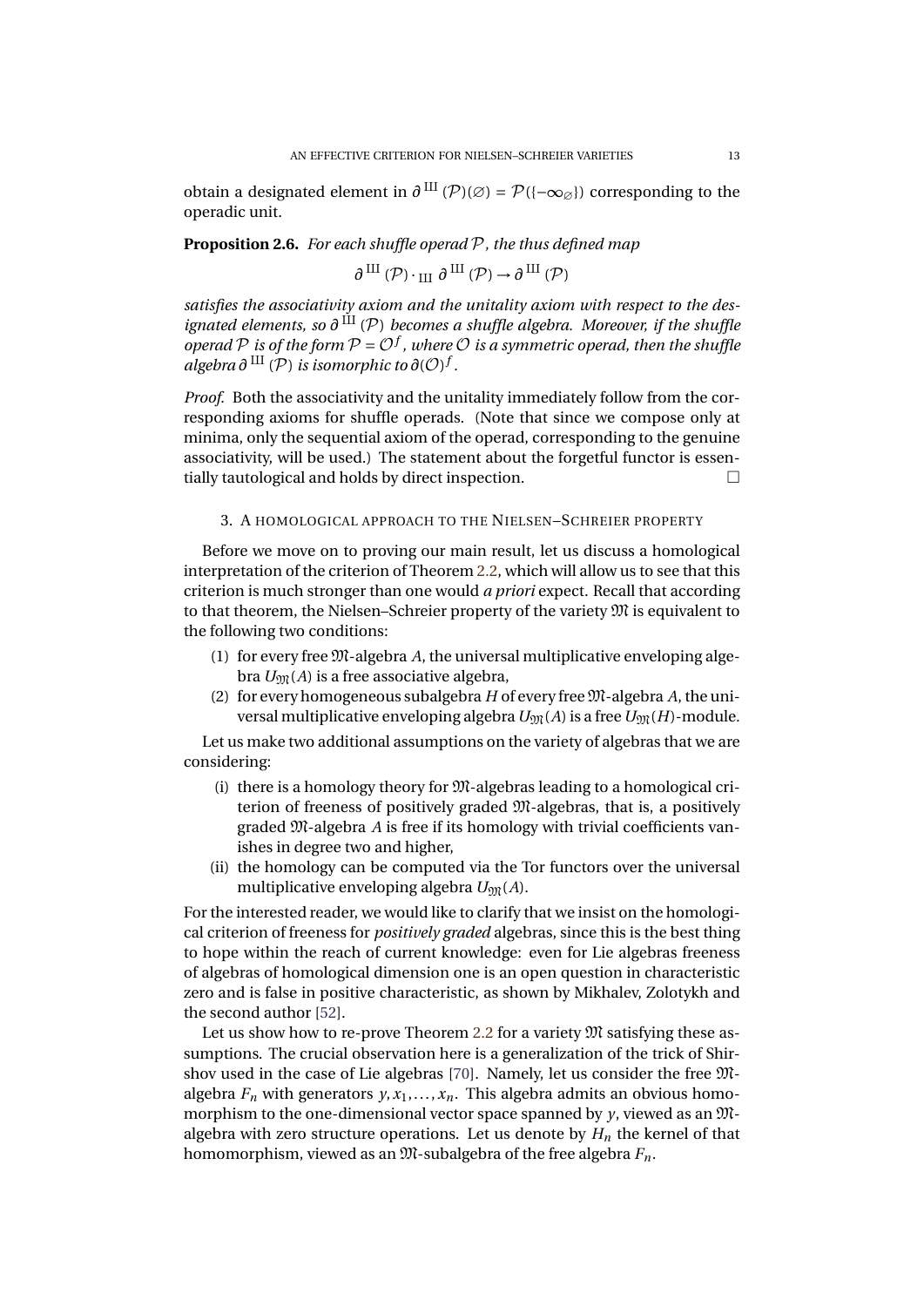obtain a designated element in  $\partial$ <sup>III</sup> ( $\mathcal{P}$ )(⊘) =  $\mathcal{P}({-\infty_{\emptyset}})$  corresponding to the operadic unit.

#### **Proposition 2.6.** *For each shuffle operad* P*, the thus defined map*

$$
\partial^{\, \mathrm{III}}\left( \mathcal{P}\right) \cdot_{\,\mathrm{III}}\, \partial^{\, \mathrm{III}}\left( \mathcal{P}\right) \to \partial^{\, \mathrm{III}}\left( \mathcal{P}\right)
$$

*satisfies the associativity axiom and the unitality axiom with respect to the designated elements, so*  $\partial$  <sup>III</sup> (P) *becomes a shuffle algebra. Moreover, if the shuffle operad*  $P$  *is of the form*  $P = O^f$  , where  $O$  *is a symmetric operad, then the shuffle*  $a$ *lgebra*  $\partial$  <sup>III</sup> ( $\mathcal{P}$ ) *is isomorphic to*  $\partial$ ( $\mathcal{O}$ )<sup> $f$ </sup>.

*Proof.* Both the associativity and the unitality immediately follow from the corresponding axioms for shuffle operads. (Note that since we compose only at minima, only the sequential axiom of the operad, corresponding to the genuine associativity, will be used.) The statement about the forgetful functor is essentially tautological and holds by direct inspection.

# 3. A HOMOLOGICAL APPROACH TO THE NIELSEN–SCHREIER PROPERTY

<span id="page-14-0"></span>Before we move on to proving our main result, let us discuss a homological interpretation of the criterion of Theorem [2.2,](#page-5-0) which will allow us to see that this criterion is much stronger than one would *a priori* expect. Recall that according to that theorem, the Nielsen–Schreier property of the variety M is equivalent to the following two conditions:

- (1) for every free M-algebra *A*, the universal multiplicative enveloping algebra  $U_{\text{Mf}}(A)$  is a free associative algebra,
- (2) for every homogeneous subalgebra  $H$  of every free  $M$ -algebra  $A$ , the universal multiplicative enveloping algebra  $U_{\mathfrak{M}}(A)$  is a free  $U_{\mathfrak{M}}(H)$ -module.

Let us make two additional assumptions on the variety of algebras that we are considering:

- (i) there is a homology theory for M-algebras leading to a homological criterion of freeness of positively graded M-algebras, that is, a positively graded M-algebra *A* is free if its homology with trivial coefficients vanishes in degree two and higher,
- (ii) the homology can be computed via the Tor functors over the universal multiplicative enveloping algebra  $U_{\mathfrak{M}}(A)$ .

For the interested reader, we would like to clarify that we insist on the homological criterion of freeness for *positively graded* algebras, since this is the best thing to hope within the reach of current knowledge: even for Lie algebras freeness of algebras of homological dimension one is an open question in characteristic zero and is false in positive characteristic, as shown by Mikhalev, Zolotykh and the second author [\[52\]](#page-30-17).

Let us show how to re-prove Theorem [2.2](#page-5-0) for a variety  $\mathfrak M$  satisfying these assumptions. The crucial observation here is a generalization of the trick of Shirshov used in the case of Lie algebras [\[70\]](#page-30-3). Namely, let us consider the free Malgebra  $F_n$  with generators  $y, x_1, \ldots, x_n$ . This algebra admits an obvious homomorphism to the one-dimensional vector space spanned by *y*, viewed as an Malgebra with zero structure operations. Let us denote by  $H_n$  the kernel of that homomorphism, viewed as an M-subalgebra of the free algebra *Fn*.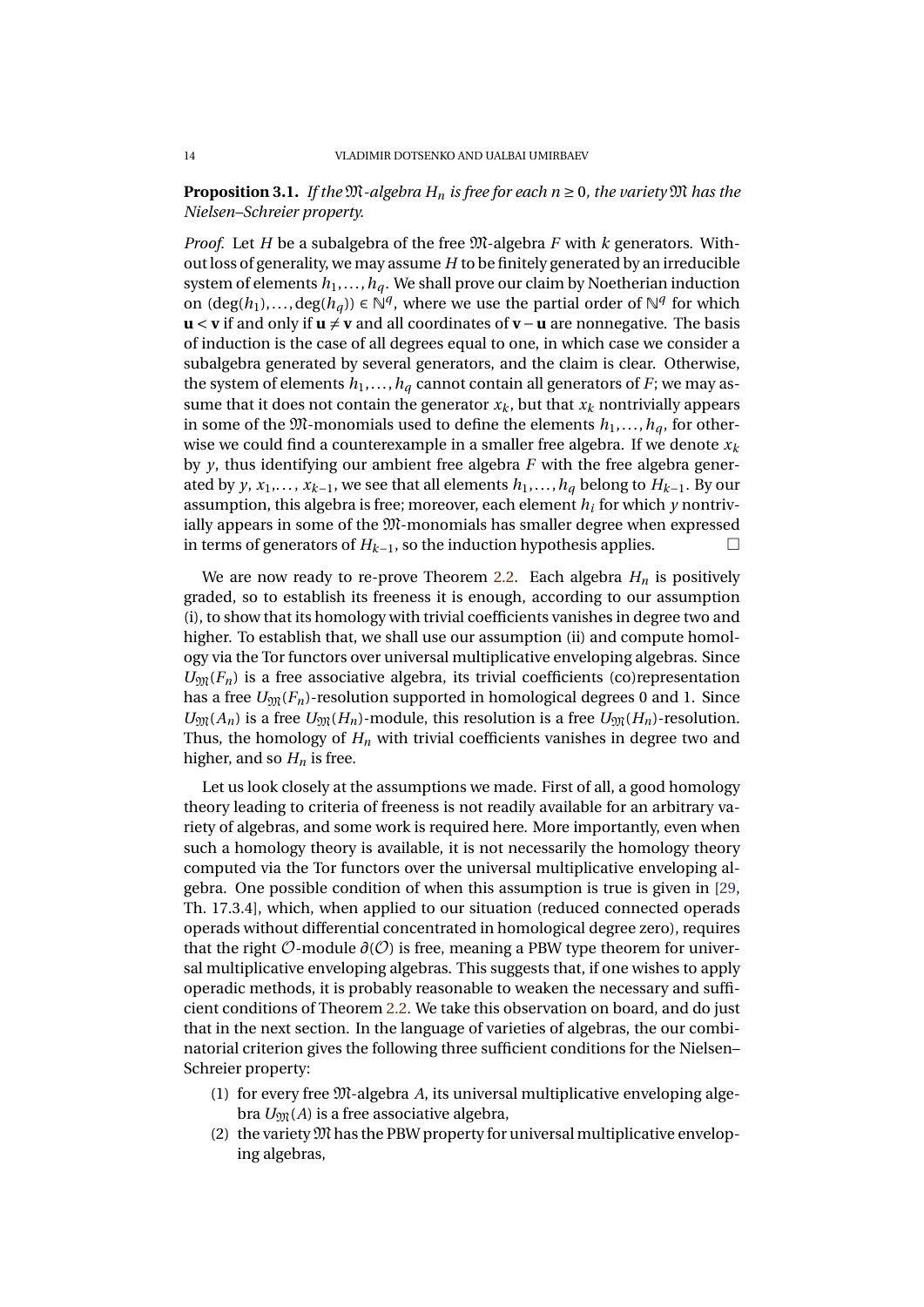# **Proposition 3.1.** *If the*  $M$ -algebra  $H_n$  *is free for each n*  $\geq$  0*, the variety*  $M$  *has the Nielsen–Schreier property.*

*Proof.* Let *H* be a subalgebra of the free M-algebra *F* with *k* generators. Without loss of generality, we may assume *H* to be finitely generated by an irreducible system of elements  $h_1, \ldots, h_d$ . We shall prove our claim by Noetherian induction on  $(\deg(h_1),..., \deg(h_q)) \in \mathbb{N}^q$ , where we use the partial order of  $\mathbb{N}^q$  for which **u** < **v** if and only if **u** ≠ **v** and all coordinates of **v** − **u** are nonnegative. The basis of induction is the case of all degrees equal to one, in which case we consider a subalgebra generated by several generators, and the claim is clear. Otherwise, the system of elements  $h_1, \ldots, h_q$  cannot contain all generators of *F*; we may assume that it does not contain the generator  $x_k$ , but that  $x_k$  nontrivially appears in some of the  $\mathfrak{M}$ -monomials used to define the elements  $h_1, \ldots, h_d$ , for otherwise we could find a counterexample in a smaller free algebra. If we denote *x<sup>k</sup>* by *y*, thus identifying our ambient free algebra *F* with the free algebra generated by *y*,  $x_1$ ,...,  $x_{k-1}$ , we see that all elements  $h_1$ ,...,  $h_q$  belong to  $H_{k-1}$ . By our assumption, this algebra is free; moreover, each element *h<sup>i</sup>* for which *y* nontrivially appears in some of the M-monomials has smaller degree when expressed in terms of generators of *<sup>H</sup>k*−1, so the induction hypothesis applies.

We are now ready to re-prove Theorem [2.2.](#page-5-0) Each algebra  $H_n$  is positively graded, so to establish its freeness it is enough, according to our assumption (i), to show that its homology with trivial coefficients vanishes in degree two and higher. To establish that, we shall use our assumption (ii) and compute homology via the Tor functors over universal multiplicative enveloping algebras. Since  $U_{\mathfrak{M}}(F_n)$  is a free associative algebra, its trivial coefficients (co)representation has a free  $U_{\mathfrak{M}}(F_n)$ -resolution supported in homological degrees 0 and 1. Since  $U_{\mathfrak{M}}(A_n)$  is a free  $U_{\mathfrak{M}}(H_n)$ -module, this resolution is a free  $U_{\mathfrak{M}}(H_n)$ -resolution. Thus, the homology of *H<sup>n</sup>* with trivial coefficients vanishes in degree two and higher, and so  $H_n$  is free.

Let us look closely at the assumptions we made. First of all, a good homology theory leading to criteria of freeness is not readily available for an arbitrary variety of algebras, and some work is required here. More importantly, even when such a homology theory is available, it is not necessarily the homology theory computed via the Tor functors over the universal multiplicative enveloping algebra. One possible condition of when this assumption is true is given in [\[29,](#page-29-13) Th. 17.3.4], which, when applied to our situation (reduced connected operads operads without differential concentrated in homological degree zero), requires that the right  $\mathcal{O}\text{-module } \partial(\mathcal{O})$  is free, meaning a PBW type theorem for universal multiplicative enveloping algebras. This suggests that, if one wishes to apply operadic methods, it is probably reasonable to weaken the necessary and sufficient conditions of Theorem [2.2.](#page-5-0) We take this observation on board, and do just that in the next section. In the language of varieties of algebras, the our combinatorial criterion gives the following three sufficient conditions for the Nielsen– Schreier property:

- (1) for every free M-algebra *A*, its universal multiplicative enveloping algebra  $U_{\text{M}}(A)$  is a free associative algebra,
- (2) the variety  $\mathfrak M$  has the PBW property for universal multiplicative enveloping algebras,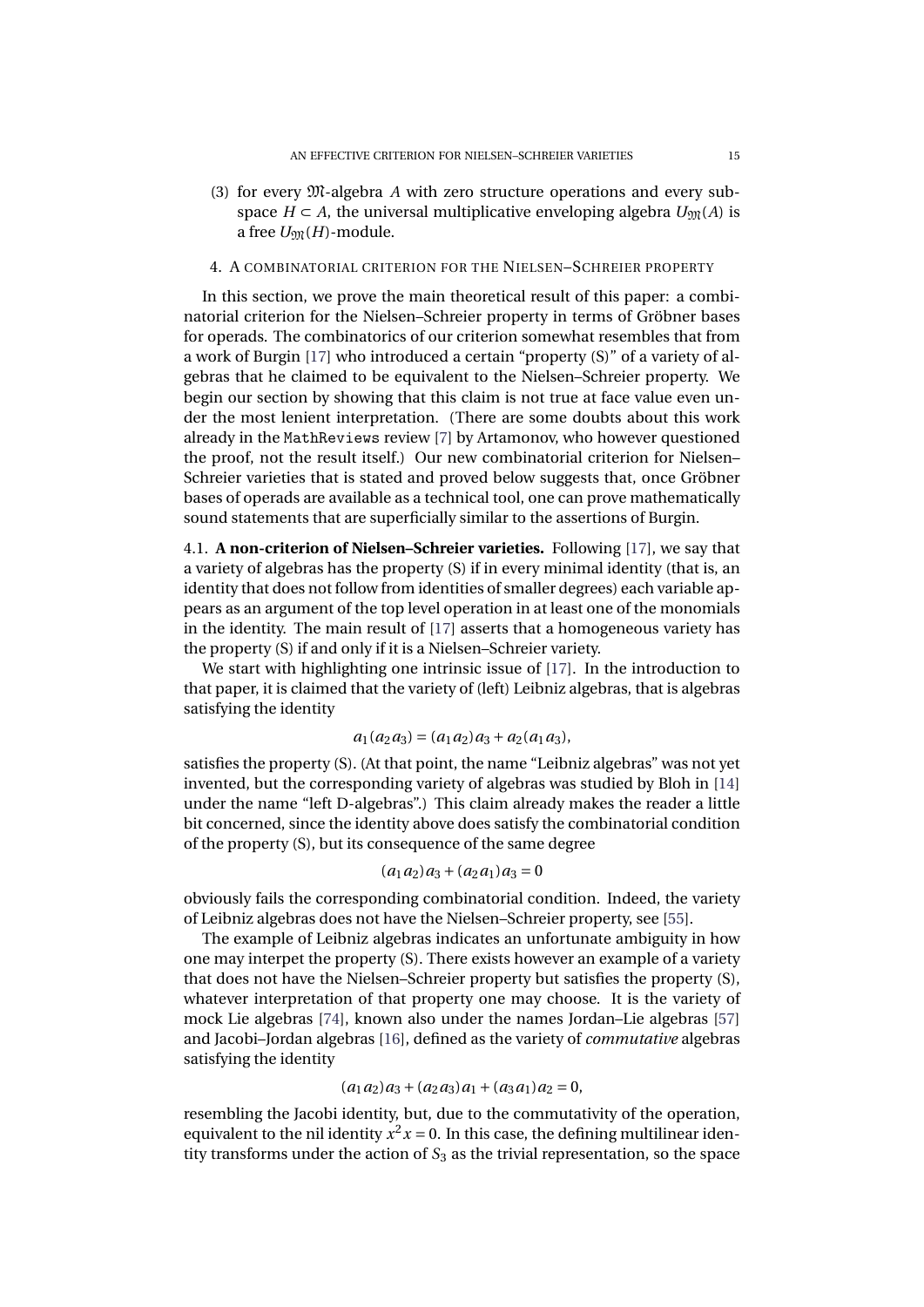(3) for every M-algebra *A* with zero structure operations and every subspace  $H \subset A$ , the universal multiplicative enveloping algebra  $U_{\mathfrak{M}}(A)$  is a free  $U_{\mathfrak{M}}(H)$ -module.

# <span id="page-16-0"></span>4. A COMBINATORIAL CRITERION FOR THE NIELSEN–SCHREIER PROPERTY

In this section, we prove the main theoretical result of this paper: a combinatorial criterion for the Nielsen–Schreier property in terms of Gröbner bases for operads. The combinatorics of our criterion somewhat resembles that from a work of Burgin [\[17\]](#page-28-12) who introduced a certain "property (S)" of a variety of algebras that he claimed to be equivalent to the Nielsen–Schreier property. We begin our section by showing that this claim is not true at face value even under the most lenient interpretation. (There are some doubts about this work already in the MathReviews review [\[7\]](#page-28-13) by Artamonov, who however questioned the proof, not the result itself.) Our new combinatorial criterion for Nielsen– Schreier varieties that is stated and proved below suggests that, once Gröbner bases of operads are available as a technical tool, one can prove mathematically sound statements that are superficially similar to the assertions of Burgin.

4.1. **A non-criterion of Nielsen–Schreier varieties.** Following [\[17\]](#page-28-12), we say that a variety of algebras has the property (S) if in every minimal identity (that is, an identity that does not follow from identities of smaller degrees) each variable appears as an argument of the top level operation in at least one of the monomials in the identity. The main result of [\[17\]](#page-28-12) asserts that a homogeneous variety has the property (S) if and only if it is a Nielsen–Schreier variety.

We start with highlighting one intrinsic issue of [\[17\]](#page-28-12). In the introduction to that paper, it is claimed that the variety of (left) Leibniz algebras, that is algebras satisfying the identity

$$
a_1(a_2a_3) = (a_1a_2)a_3 + a_2(a_1a_3),
$$

satisfies the property (S). (At that point, the name "Leibniz algebras" was not yet invented, but the corresponding variety of algebras was studied by Bloh in [\[14\]](#page-28-14) under the name "left D-algebras".) This claim already makes the reader a little bit concerned, since the identity above does satisfy the combinatorial condition of the property (S), but its consequence of the same degree

$$
(a_1 a_2) a_3 + (a_2 a_1) a_3 = 0
$$

obviously fails the corresponding combinatorial condition. Indeed, the variety of Leibniz algebras does not have the Nielsen–Schreier property, see [\[55\]](#page-30-18).

The example of Leibniz algebras indicates an unfortunate ambiguity in how one may interpet the property (S). There exists however an example of a variety that does not have the Nielsen–Schreier property but satisfies the property (S), whatever interpretation of that property one may choose. It is the variety of mock Lie algebras [\[74\]](#page-30-19), known also under the names Jordan–Lie algebras [\[57\]](#page-30-20) and Jacobi–Jordan algebras [\[16\]](#page-28-15), defined as the variety of *commutative* algebras satisfying the identity

#### $(a_1 a_2) a_3 + (a_2 a_3) a_1 + (a_3 a_1) a_2 = 0$

resembling the Jacobi identity, but, due to the commutativity of the operation, equivalent to the nil identity  $x^2$   $x = 0$ . In this case, the defining multilinear identity transforms under the action of  $S_3$  as the trivial representation, so the space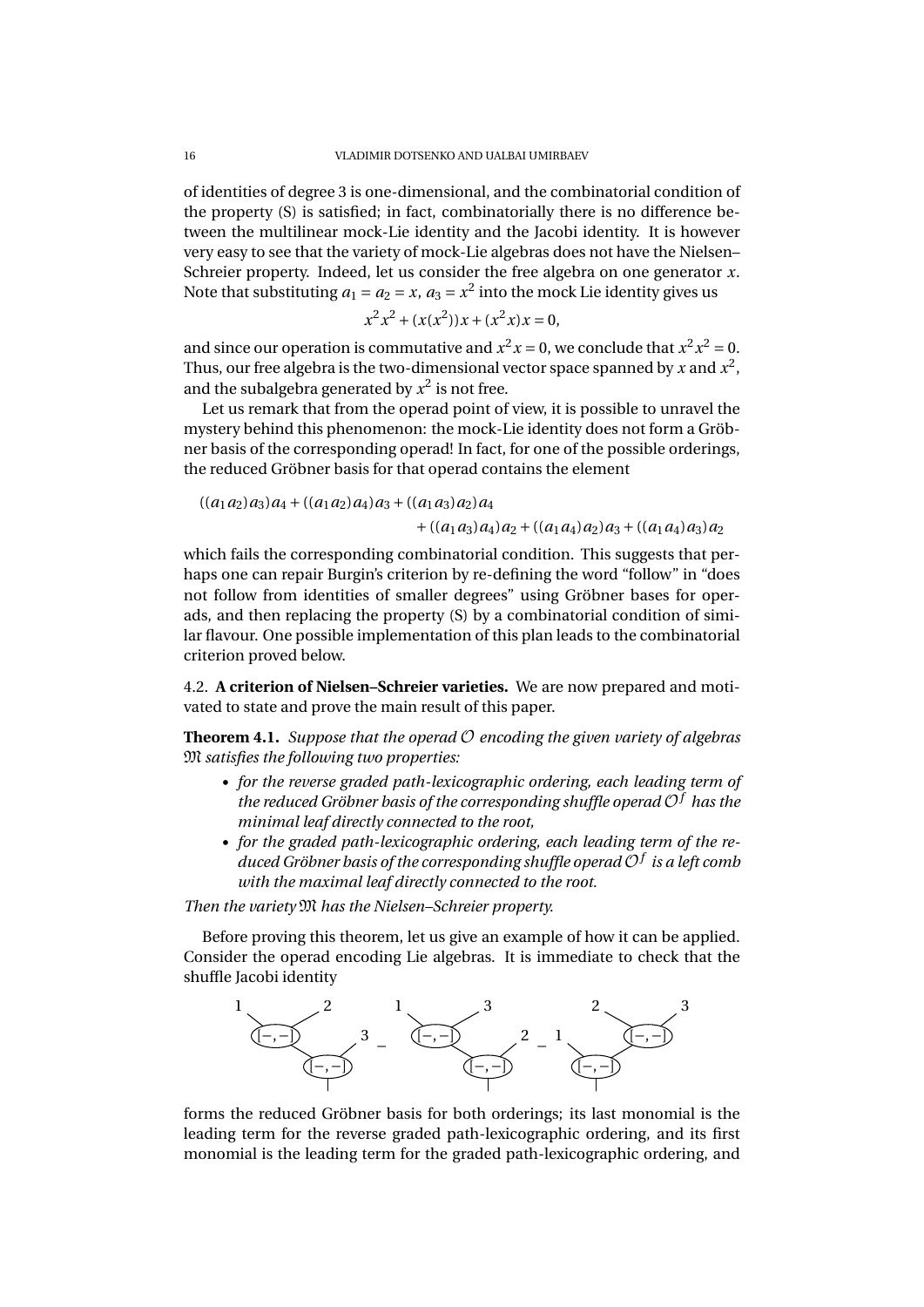of identities of degree 3 is one-dimensional, and the combinatorial condition of the property (S) is satisfied; in fact, combinatorially there is no difference between the multilinear mock-Lie identity and the Jacobi identity. It is however very easy to see that the variety of mock-Lie algebras does not have the Nielsen– Schreier property. Indeed, let us consider the free algebra on one generator *x*. Note that substituting  $a_1 = a_2 = x$ ,  $a_3 = x^2$  into the mock Lie identity gives us

$$
x^2x^2 + (x(x^2))x + (x^2x)x = 0,
$$

and since our operation is commutative and  $x^2x = 0$ , we conclude that  $x^2x^2 = 0$ . Thus, our free algebra is the two-dimensional vector space spanned by  $x$  and  $x^2$ , and the subalgebra generated by  $x^2$  is not free.

Let us remark that from the operad point of view, it is possible to unravel the mystery behind this phenomenon: the mock-Lie identity does not form a Gröbner basis of the corresponding operad! In fact, for one of the possible orderings, the reduced Gröbner basis for that operad contains the element

$$
((a_1 a_2) a_3) a_4 + ((a_1 a_2) a_4) a_3 + ((a_1 a_3) a_2) a_4 + ((a_1 a_3) a_4) a_2 + ((a_1 a_4) a_2) a_3 + ((a_1 a_4) a_3) a_2
$$

which fails the corresponding combinatorial condition. This suggests that perhaps one can repair Burgin's criterion by re-defining the word "follow" in "does not follow from identities of smaller degrees" using Gröbner bases for operads, and then replacing the property (S) by a combinatorial condition of similar flavour. One possible implementation of this plan leads to the combinatorial criterion proved below.

4.2. **A criterion of Nielsen–Schreier varieties.** We are now prepared and motivated to state and prove the main result of this paper.

<span id="page-17-0"></span>**Theorem 4.1.** *Suppose that the operad*  $O$  *encoding the given variety of algebras* M *satisfies the following two properties:*

- *for the reverse graded path-lexicographic ordering, each leading term of the reduced Gröbner basis of the corresponding shuffle operad* O*<sup>f</sup> has the minimal leaf directly connected to the root,*
- *for the graded path-lexicographic ordering, each leading term of the reduced Gröbner basis of the corresponding shuffle operad* O*<sup>f</sup> is a left comb with the maximal leaf directly connected to the root.*

*Then the variety* M *has the Nielsen–Schreier property.*

Before proving this theorem, let us give an example of how it can be applied. Consider the operad encoding Lie algebras. It is immediate to check that the shuffle Jacobi identity



forms the reduced Gröbner basis for both orderings; its last monomial is the leading term for the reverse graded path-lexicographic ordering, and its first monomial is the leading term for the graded path-lexicographic ordering, and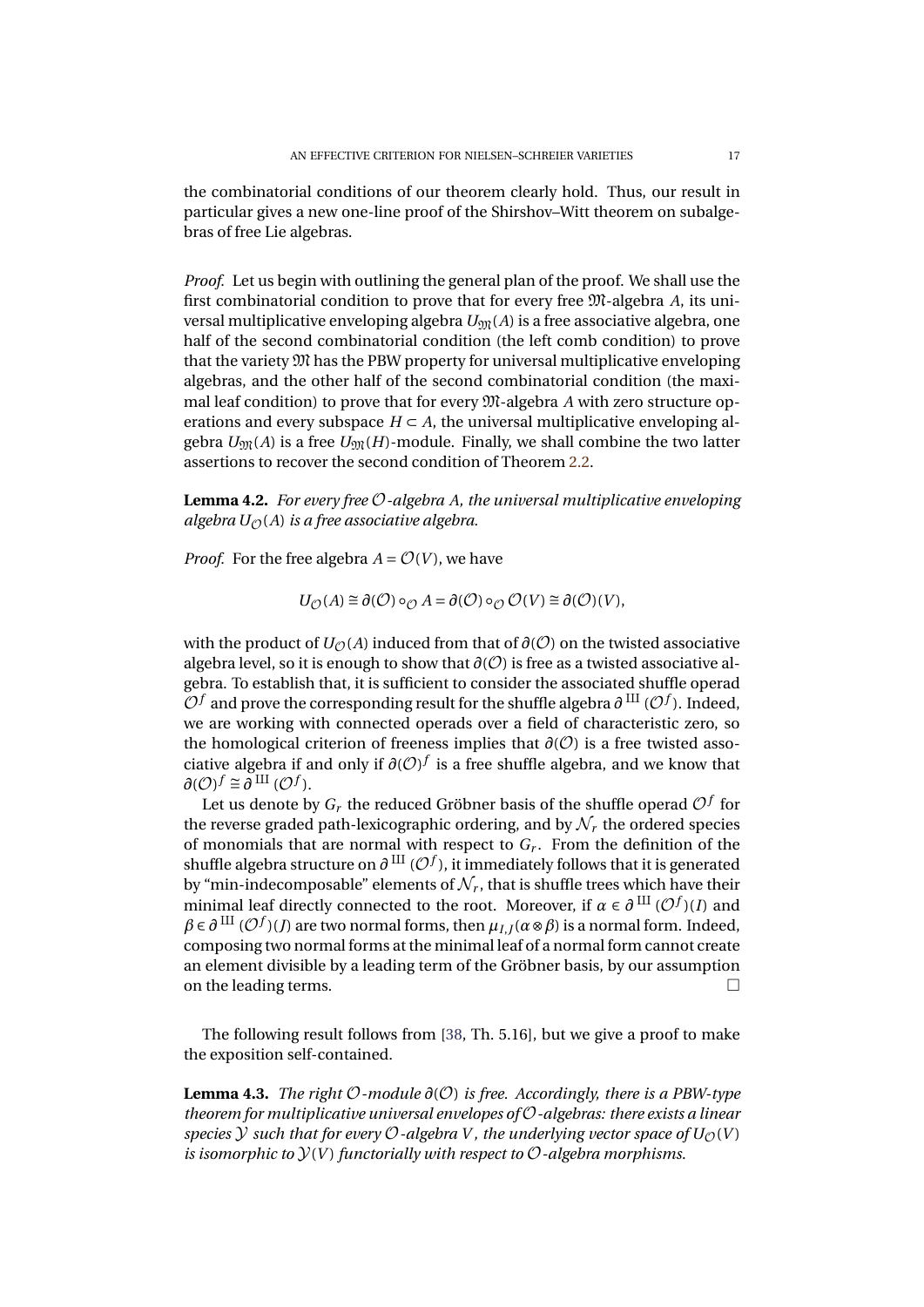the combinatorial conditions of our theorem clearly hold. Thus, our result in particular gives a new one-line proof of the Shirshov–Witt theorem on subalgebras of free Lie algebras.

*Proof.* Let us begin with outlining the general plan of the proof. We shall use the first combinatorial condition to prove that for every free M-algebra *A*, its universal multiplicative enveloping algebra  $U_{\mathfrak{M}}(A)$  is a free associative algebra, one half of the second combinatorial condition (the left comb condition) to prove that the variety M has the PBW property for universal multiplicative enveloping algebras, and the other half of the second combinatorial condition (the maximal leaf condition) to prove that for every M-algebra *A* with zero structure operations and every subspace  $H \subset A$ , the universal multiplicative enveloping algebra  $U_{\mathfrak{M}}(A)$  is a free  $U_{\mathfrak{M}}(H)$ -module. Finally, we shall combine the two latter assertions to recover the second condition of Theorem [2.2.](#page-5-0)

**Lemma 4.2.** *For every free* O*-algebra A, the universal multiplicative enveloping algebra*  $U_{\Omega}(A)$  *is a free associative algebra.* 

*Proof.* For the free algebra  $A = \mathcal{O}(V)$ , we have

 $U_{\mathcal{O}}(A) \cong \partial(\mathcal{O}) \circ_{\mathcal{O}} A = \partial(\mathcal{O}) \circ_{\mathcal{O}} \mathcal{O}(V) \cong \partial(\mathcal{O})(V),$ 

with the product of  $U_{\mathcal{O}}(A)$  induced from that of  $\partial(\mathcal{O})$  on the twisted associative algebra level, so it is enough to show that  $\partial(\mathcal{O})$  is free as a twisted associative algebra. To establish that, it is sufficient to consider the associated shuffle operad  $\overline{\mathcal{O}}$ *f* and prove the corresponding result for the shuffle algebra  $\partial$  <sup>III</sup> ( $\mathcal{O}$ *f*). Indeed, we are working with connected operads over a field of characteristic zero, so the homological criterion of freeness implies that  $\partial$ ( $\mathcal{O}$ ) is a free twisted associative algebra if and only if  $\partial$ ( $\mathcal{O}$ )<sup> $f$ </sup> is a free shuffle algebra, and we know that  $\partial$ (*O*)<sup>*f*</sup> ≅  $\partial$ <sup>III</sup> (*O*<sup>f</sup>).

Let us denote by  $G_r$  the reduced Gröbner basis of the shuffle operad  $\mathcal{O}^f$  for the reverse graded path-lexicographic ordering, and by  $\mathcal{N}_r$  the ordered species of monomials that are normal with respect to *G<sup>r</sup>* . From the definition of the shuffle algebra structure on  $\partial^{\rm \, III}$  ( $\mathcal{O}^f$ ), it immediately follows that it is generated by "min-indecomposable" elements of  $\mathcal{N}_r$ , that is shuffle trees which have their minimal leaf directly connected to the root. Moreover, if  $\alpha \in \partial$ <sup>III</sup> ( $\mathcal{O}^f$ )(*I*) and  $\beta \in \partial$  III ( $\mathcal{O}^{f}$ )(*J*) are two normal forms, then  $\mu_{I,J}(\alpha \otimes \beta)$  is a normal form. Indeed, composing two normal forms at the minimal leaf of a normal form cannot create an element divisible by a leading term of the Gröbner basis, by our assumption on the leading terms.

The following result follows from [\[38,](#page-29-18) Th. 5.16], but we give a proof to make the exposition self-contained.

**Lemma 4.3.** *The right* O*-module ∂*(O) *is free. Accordingly, there is a PBW-type theorem for multiplicative universal envelopes of* O*-algebras: there exists a linear species*  $Y$  *such that for every*  $O$ -algebra V, the underlying vector space of  $U_O(V)$ *is isomorphic to*  $\mathcal{Y}(V)$  *functorially with respect to*  $\mathcal{O}$ -*algebra morphisms.*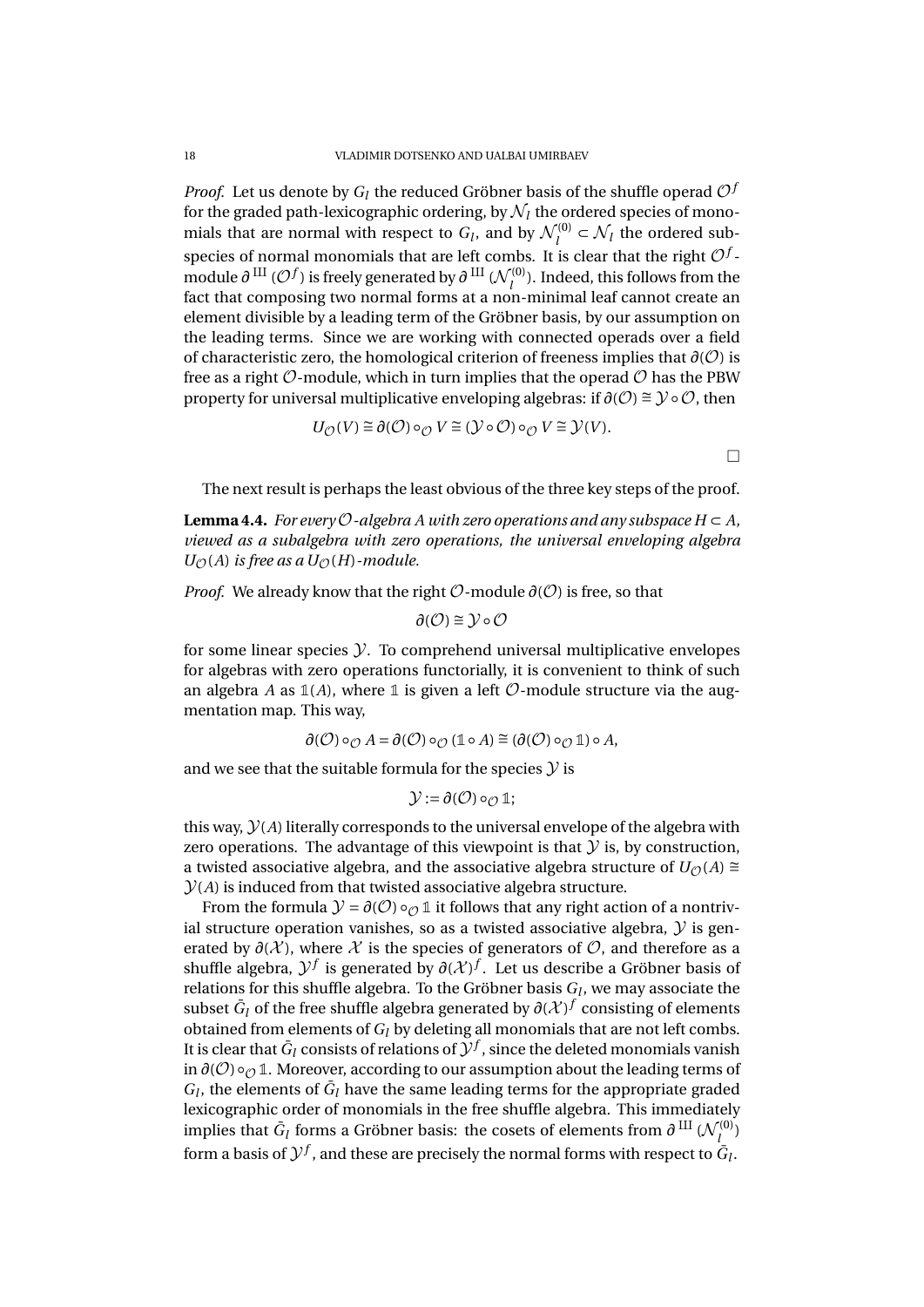*Proof.* Let us denote by  $G_l$  the reduced Gröbner basis of the shuffle operad  $\mathcal{O}^j$ for the graded path-lexicographic ordering, by  $\mathcal{N}_l$  the ordered species of monomials that are normal with respect to  $G_l$ , and by  $\mathcal{N}_l^{(0)}$  $\mathcal{N}_l$  the ordered subspecies of normal monomials that are left combs. It is clear that the right  $\mathcal{O}^f$  module  $\partial$ <sup>III</sup> ( $\mathcal{O}^{f}$ ) is freely generated by  $\partial$ <sup>III</sup> ( $\mathcal{N}_l^{(0)}$  $\binom{10}{l}$ . Indeed, this follows from the fact that composing two normal forms at a non-minimal leaf cannot create an element divisible by a leading term of the Gröbner basis, by our assumption on the leading terms. Since we are working with connected operads over a field of characteristic zero, the homological criterion of freeness implies that *∂*(O) is free as a right  $\mathcal O$ -module, which in turn implies that the operad  $\mathcal O$  has the PBW property for universal multiplicative enveloping algebras: if  $\partial(O) \cong \mathcal{Y} \circ \mathcal{O}$ , then

$$
U_{\mathcal{O}}(V) \cong \partial(\mathcal{O}) \circ_{\mathcal{O}} V \cong (\mathcal{Y} \circ \mathcal{O}) \circ_{\mathcal{O}} V \cong \mathcal{Y}(V).
$$

 $\Box$ 

The next result is perhaps the least obvious of the three key steps of the proof.

**Lemma 4.4.** *For every*  $\mathcal{O}$ -algebra A with zero operations and any subspace  $H \subset A$ . *viewed as a subalgebra with zero operations, the universal enveloping algebra*  $U_{\mathcal{O}}(A)$  *is free as a*  $U_{\mathcal{O}}(H)$ *-module.* 

*Proof.* We already know that the right  $\mathcal{O}\text{-module } \partial(\mathcal{O})$  is free, so that

$$
\partial(\mathcal{O}) \cong \mathcal{Y} \circ \mathcal{O}
$$

for some linear species  $\mathcal Y$ . To comprehend universal multiplicative envelopes for algebras with zero operations functorially, it is convenient to think of such an algebra *A* as  $\mathbb{1}(A)$ , where  $\mathbb{1}$  is given a left  $\mathcal{O}$ -module structure via the augmentation map. This way,

$$
\partial(\mathcal{O})\circ_{\mathcal{O}} A=\partial(\mathcal{O})\circ_{\mathcal{O}}(\mathbb{1}\circ A)\cong(\partial(\mathcal{O})\circ_{\mathcal{O}}\mathbb{1})\circ A,
$$

and we see that the suitable formula for the species  $\mathcal Y$  is

$$
\mathcal{Y} := \partial(\mathcal{O}) \circ_{\mathcal{O}} \mathbb{1};
$$

this way,  $\mathcal{Y}(A)$  literally corresponds to the universal envelope of the algebra with zero operations. The advantage of this viewpoint is that  $\mathcal Y$  is, by construction, a twisted associative algebra, and the associative algebra structure of  $U_{\mathcal{O}}(A)$  ≅  $\mathcal{Y}(A)$  is induced from that twisted associative algebra structure.

From the formula  $\mathcal{Y} = \partial(\mathcal{O}) \circ_{\mathcal{O}} \mathbb{1}$  it follows that any right action of a nontrivial structure operation vanishes, so as a twisted associative algebra,  $\mathcal Y$  is generated by  $\partial$ ( $X$ ), where  $X$  is the species of generators of  $\mathcal{O}$ , and therefore as a shuffle algebra,  $\mathcal{Y}^f$  is generated by  $\partial(\mathcal{X})^f$ . Let us describe a Gröbner basis of relations for this shuffle algebra. To the Gröbner basis *G<sup>l</sup>* , we may associate the subset  $\bar{G}_l$  of the free shuffle algebra generated by  $\partial (\mathcal{X})^f$  consisting of elements obtained from elements of *G<sup>l</sup>* by deleting all monomials that are not left combs. It is clear that  $\bar{G}_l$  consists of relations of  $\mathcal{Y}^f$  , since the deleted monomials vanish in  $\partial$ ( $O$ ) ∘ $\partial$  1. Moreover, according to our assumption about the leading terms of  $G_l$ , the elements of  $\bar{G}_l$  have the same leading terms for the appropriate graded lexicographic order of monomials in the free shuffle algebra. This immediately implies that  $\bar{G}_l$  forms a Gröbner basis: the cosets of elements from  $\partial$  III ( $\mathcal{N}_l^{(0)}$ *l* ) form a basis of  $\mathcal{Y}^f$  , and these are precisely the normal forms with respect to  $\bar{G}_l$  .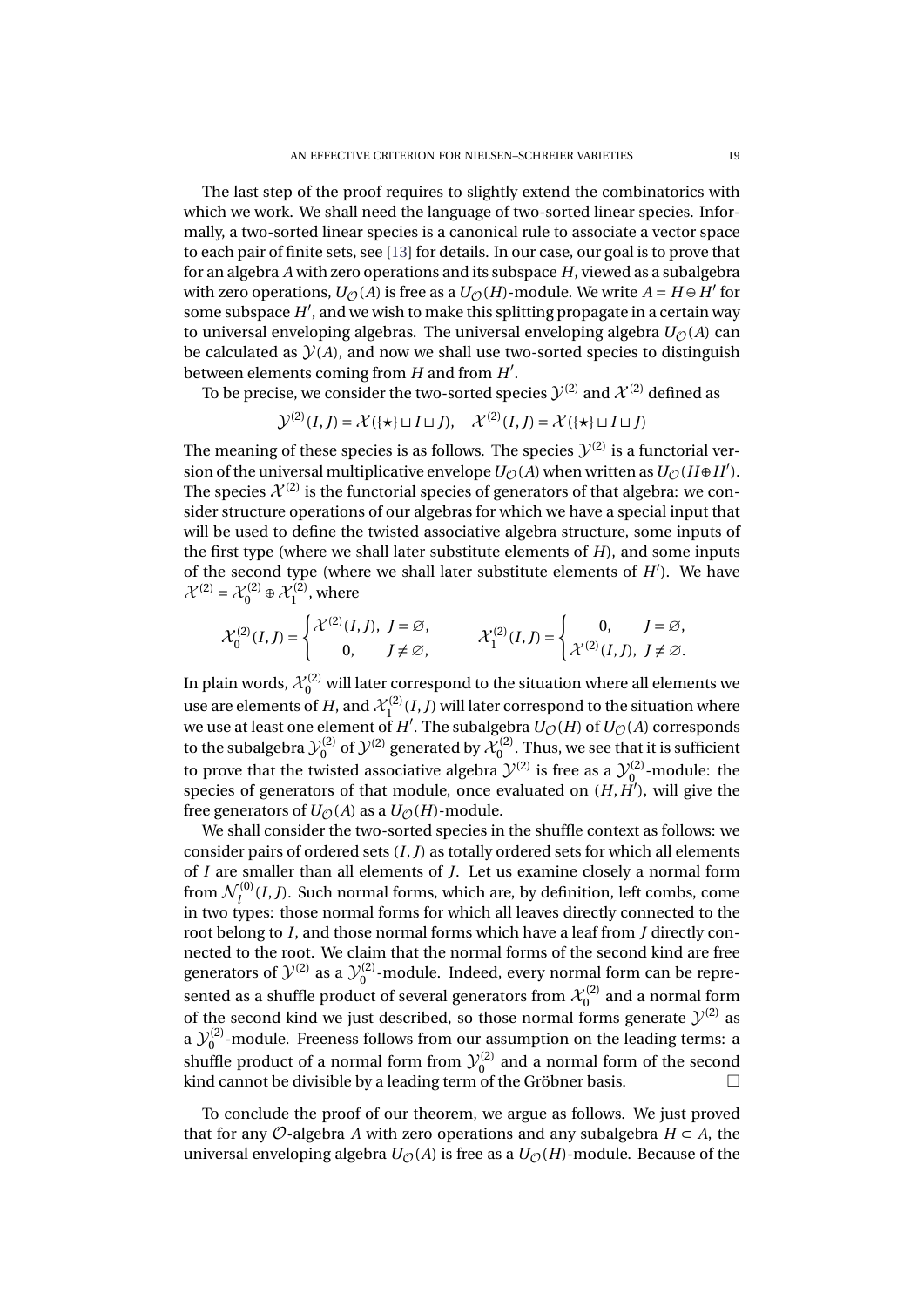The last step of the proof requires to slightly extend the combinatorics with which we work. We shall need the language of two-sorted linear species. Informally, a two-sorted linear species is a canonical rule to associate a vector space to each pair of finite sets, see [\[13\]](#page-28-7) for details. In our case, our goal is to prove that for an algebra *A* with zero operations and its subspace *H*, viewed as a subalgebra with zero operations,  $U_{\mathcal{O}}(A)$  is free as a  $U_{\mathcal{O}}(H)$ -module. We write  $A = H \oplus H'$  for some subspace H', and we wish to make this splitting propagate in a certain way to universal enveloping algebras. The universal enveloping algebra  $U_{\mathcal{O}}(A)$  can be calculated as  $\mathcal{Y}(A)$ , and now we shall use two-sorted species to distinguish between elements coming from *H* and from *H'*.

To be precise, we consider the two-sorted species  $\mathcal{Y}^{(2)}$  and  $\mathcal{X}^{(2)}$  defined as

$$
\mathcal{Y}^{(2)}(I,J) = \mathcal{X}(\{\star\} \sqcup I \sqcup J), \quad \mathcal{X}^{(2)}(I,J) = \mathcal{X}(\{\star\} \sqcup I \sqcup J)
$$

The meaning of these species is as follows. The species  $\mathcal{Y}^{(2)}$  is a functorial version of the universal multiplicative envelope  $U_{\mathcal{O}}(A)$  when written as  $U_{\mathcal{O}}(H \oplus H')$ . The species  $\mathcal{X}^{(2)}$  is the functorial species of generators of that algebra: we consider structure operations of our algebras for which we have a special input that will be used to define the twisted associative algebra structure, some inputs of the first type (where we shall later substitute elements of *H*), and some inputs of the second type (where we shall later substitute elements of  $H'$ ). We have  $\mathcal{X}^{(2)} = \mathcal{X}_0^{(2)} \oplus \mathcal{X}_1^{(2)}$  $j_1^{\prime(2)}$ , where

$$
\mathcal{X}^{(2)}_0(I,J)=\begin{cases} \mathcal{X}^{(2)}(I,J),\ J=\varnothing,\\ \qquad \qquad \mathcal{X}^{(2)}_1(I,J)=\begin{cases} \qquad 0, \qquad J=\varnothing,\\ \mathcal{X}^{(2)}(I,J),\ J\neq\varnothing. \end{cases}
$$

In plain words,  $\mathcal{X}^{(2)}_0$  will later correspond to the situation where all elements we use are elements of  $H$ , and  $\mathcal{X}^{(2)}_1(I,J)$  will later correspond to the situation where we use at least one element of  $H'$ . The subalgebra  $U_{\mathcal{O}}(H)$  of  $U_{\mathcal{O}}(A)$  corresponds we use at least one element of  $H'$ . The subalgebra  $U_{\mathcal{O}}(H)$  of  $U_{\mathcal{O}}(A)$  corresponds to the subalgebra  $\mathcal{Y}^{(2)}_{0}$  $\chi_0^{(2)}$  of  $\mathcal{Y}^{(2)}$  generated by  $\mathcal{X}^{(2)}_0$  $\int_{0}^{\sqrt{2}}$ . Thus, we see that it is sufficient to prove that the twisted associative algebra  $\mathcal{Y}^{(2)}$  is free as a  $\mathcal{Y}^{(2)}_0$  $\int_{0}^{\sqrt{2}}$ -module: the species of generators of that module, once evaluated on  $(H, H')$ , will give the free generators of  $U_{\mathcal{O}}(A)$  as a  $U_{\mathcal{O}}(H)$ -module.

We shall consider the two-sorted species in the shuffle context as follows: we consider pairs of ordered sets (*I*,*J*) as totally ordered sets for which all elements of *I* are smaller than all elements of *J*. Let us examine closely a normal form from  $\mathcal{N}_{I}^{(0)}(I,J)$ . Such normal forms, which are, by definition, left combs, come *l* in two types: those normal forms, which all leaves directly connected to the root belong to *I*, and those normal forms which have a leaf from *J* directly connected to the root. We claim that the normal forms of the second kind are free generators of  $\mathcal{Y}^{(2)}$  as a  $\mathcal{Y}^{(2)}_0$  $\int_{0}^{12}$ -module. Indeed, every normal form can be represented as a shuffle product of several generators from  $\mathcal{X}^{(2)}_0$  $\int_{0}^{\prime}(2)$  and a normal form of the second kind we just described, so those normal forms generate  $\mathcal{Y}^{(2)}$  as a  $\mathcal{Y}_0^{(2)}$  $\int_{0}^{\sqrt{2}}$ -module. Freeness follows from our assumption on the leading terms: a shuffle product of a normal form from  $\mathcal{Y}^{(2)}_0$  $\int_0^{1/2}$  and a normal form of the second kind cannot be divisible by a leading term of the Gröbner basis.  $\Box$ 

To conclude the proof of our theorem, we argue as follows. We just proved that for any  $\mathcal{O}$ -algebra *A* with zero operations and any subalgebra  $H \subset A$ , the universal enveloping algebra  $U_{\mathcal{O}}(A)$  is free as a  $U_{\mathcal{O}}(H)$ -module. Because of the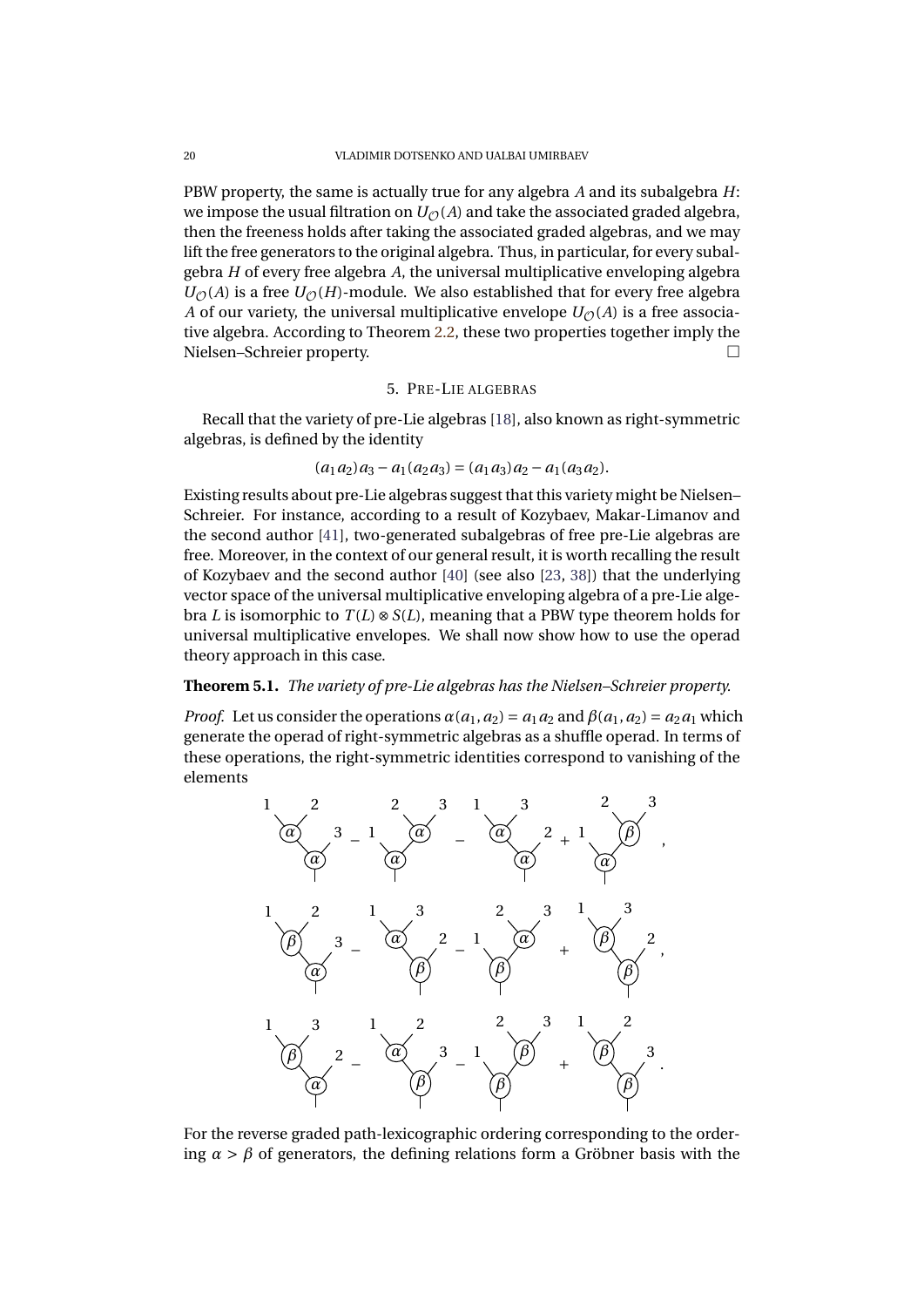PBW property, the same is actually true for any algebra *A* and its subalgebra *H*: we impose the usual filtration on  $U_{\mathcal{O}}(A)$  and take the associated graded algebra, then the freeness holds after taking the associated graded algebras, and we may lift the free generators to the original algebra. Thus, in particular, for every subalgebra *H* of every free algebra *A*, the universal multiplicative enveloping algebra  $U_{\mathcal{O}}(A)$  is a free  $U_{\mathcal{O}}(H)$ -module. We also established that for every free algebra *A* of our variety, the universal multiplicative envelope  $U_{\mathcal{O}}(A)$  is a free associative algebra. According to Theorem [2.2,](#page-5-0) these two properties together imply the Nielsen–Schreier property.

# 5. PRE-LIE ALGEBRAS

<span id="page-21-0"></span>Recall that the variety of pre-Lie algebras [\[18\]](#page-28-16), also known as right-symmetric algebras, is defined by the identity

$$
(a_1 a_2) a_3 - a_1 (a_2 a_3) = (a_1 a_3) a_2 - a_1 (a_3 a_2).
$$

Existing results about pre-Lie algebras suggest that this variety might be Nielsen– Schreier. For instance, according to a result of Kozybaev, Makar-Limanov and the second author [\[41\]](#page-29-19), two-generated subalgebras of free pre-Lie algebras are free. Moreover, in the context of our general result, it is worth recalling the result of Kozybaev and the second author [\[40\]](#page-29-20) (see also [\[23,](#page-28-17) [38\]](#page-29-18)) that the underlying vector space of the universal multiplicative enveloping algebra of a pre-Lie algebra *L* is isomorphic to  $T(L) \otimes S(L)$ , meaning that a PBW type theorem holds for universal multiplicative envelopes. We shall now show how to use the operad theory approach in this case.

# <span id="page-21-1"></span>**Theorem 5.1.** *The variety of pre-Lie algebras has the Nielsen–Schreier property.*

*Proof.* Let us consider the operations  $\alpha(a_1, a_2) = a_1a_2$  and  $\beta(a_1, a_2) = a_2a_1$  which generate the operad of right-symmetric algebras as a shuffle operad. In terms of these operations, the right-symmetric identities correspond to vanishing of the elements



For the reverse graded path-lexicographic ordering corresponding to the ordering  $\alpha > \beta$  of generators, the defining relations form a Gröbner basis with the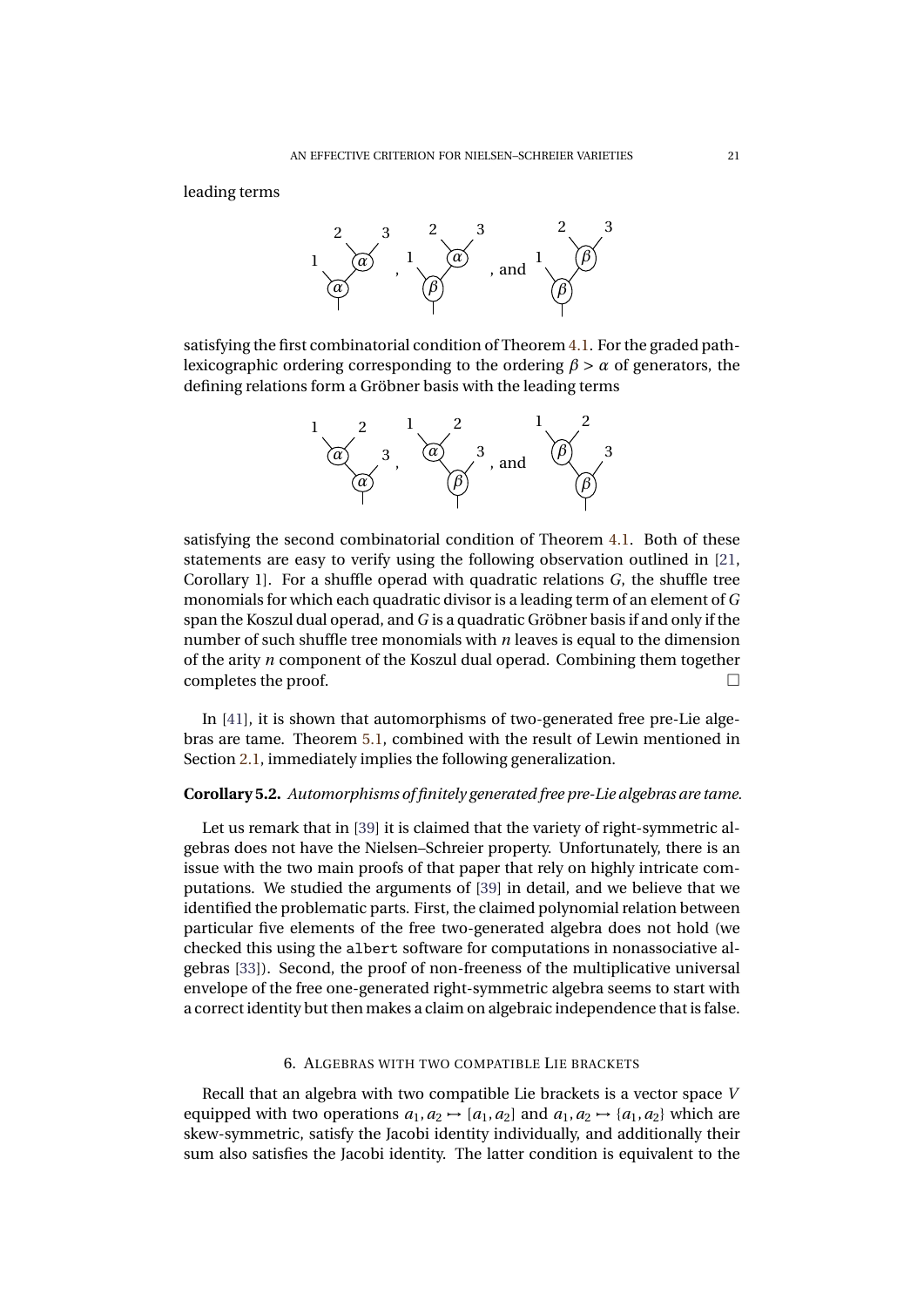leading terms



satisfying the first combinatorial condition of Theorem [4.1.](#page-17-0) For the graded pathlexicographic ordering corresponding to the ordering  $\beta > \alpha$  of generators, the defining relations form a Gröbner basis with the leading terms



satisfying the second combinatorial condition of Theorem [4.1.](#page-17-0) Both of these statements are easy to verify using the following observation outlined in [\[21,](#page-28-10) Corollary 1]. For a shuffle operad with quadratic relations *G*, the shuffle tree monomials for which each quadratic divisor is a leading term of an element of *G* span the Koszul dual operad, and *G* is a quadratic Gröbner basis if and only if the number of such shuffle tree monomials with *n* leaves is equal to the dimension of the arity *n* component of the Koszul dual operad. Combining them together completes the proof.

In [\[41\]](#page-29-19), it is shown that automorphisms of two-generated free pre-Lie algebras are tame. Theorem [5.1,](#page-21-1) combined with the result of Lewin mentioned in Section [2.1,](#page-4-1) immediately implies the following generalization.

# **Corollary 5.2.** *Automorphisms of finitely generated free pre-Lie algebras are tame.*

Let us remark that in [\[39\]](#page-29-21) it is claimed that the variety of right-symmetric algebras does not have the Nielsen–Schreier property. Unfortunately, there is an issue with the two main proofs of that paper that rely on highly intricate computations. We studied the arguments of [\[39\]](#page-29-21) in detail, and we believe that we identified the problematic parts. First, the claimed polynomial relation between particular five elements of the free two-generated algebra does not hold (we checked this using the albert software for computations in nonassociative algebras [\[33\]](#page-29-22)). Second, the proof of non-freeness of the multiplicative universal envelope of the free one-generated right-symmetric algebra seems to start with a correct identity but then makes a claim on algebraic independence that is false.

# 6. ALGEBRAS WITH TWO COMPATIBLE LIE BRACKETS

Recall that an algebra with two compatible Lie brackets is a vector space *V* equipped with two operations  $a_1, a_2 \rightarrow [a_1, a_2]$  and  $a_1, a_2 \rightarrow \{a_1, a_2\}$  which are skew-symmetric, satisfy the Jacobi identity individually, and additionally their sum also satisfies the Jacobi identity. The latter condition is equivalent to the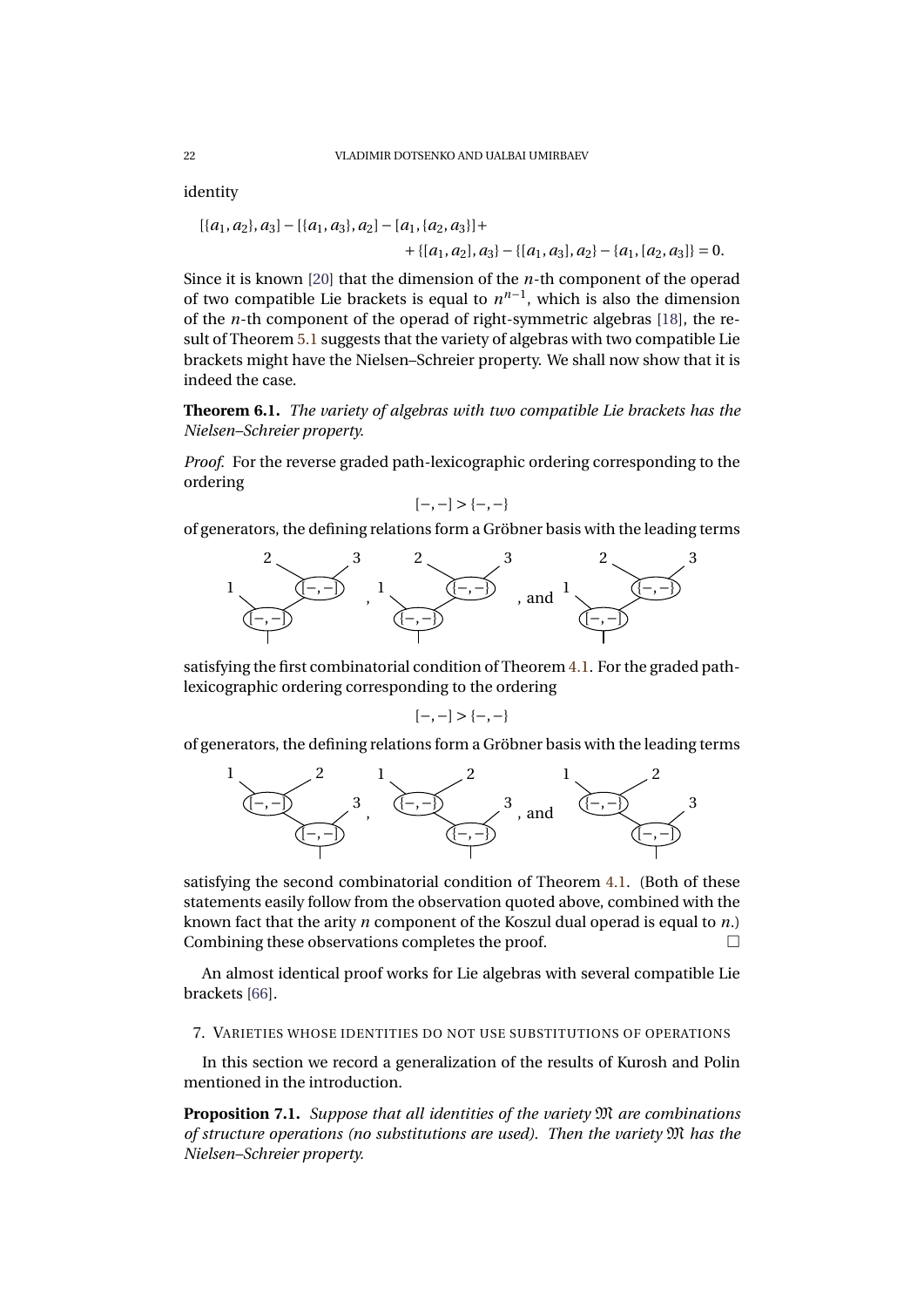identity

$$
[\{a_1, a_2\}, a_3] - [\{a_1, a_3\}, a_2] - [a_1, \{a_2, a_3\}] ++ \{[a_1, a_2], a_3\} - \{[a_1, a_3], a_2\} - \{a_1, [a_2, a_3]\} = 0.
$$

Since it is known [\[20\]](#page-28-18) that the dimension of the *n*-th component of the operad of two compatible Lie brackets is equal to  $n^{n-1}$ , which is also the dimension of the *n*-th component of the operad of right-symmetric algebras [\[18\]](#page-28-16), the result of Theorem [5.1](#page-21-1) suggests that the variety of algebras with two compatible Lie brackets might have the Nielsen–Schreier property. We shall now show that it is indeed the case.

**Theorem 6.1.** *The variety of algebras with two compatible Lie brackets has the Nielsen–Schreier property.*

*Proof.* For the reverse graded path-lexicographic ordering corresponding to the ordering

$$
[-,-] > \{-,-\}
$$

of generators, the defining relations form a Gröbner basis with the leading terms



satisfying the first combinatorial condition of Theorem [4.1.](#page-17-0) For the graded pathlexicographic ordering corresponding to the ordering

$$
[-,-] > \{-,-\}
$$

of generators, the defining relations form a Gröbner basis with the leading terms



satisfying the second combinatorial condition of Theorem [4.1.](#page-17-0) (Both of these statements easily follow from the observation quoted above, combined with the known fact that the arity *n* component of the Koszul dual operad is equal to *n*.) Combining these observations completes the proof.

An almost identical proof works for Lie algebras with several compatible Lie brackets [\[66\]](#page-30-21).

7. VARIETIES WHOSE IDENTITIES DO NOT USE SUBSTITUTIONS OF OPERATIONS

In this section we record a generalization of the results of Kurosh and Polin mentioned in the introduction.

**Proposition 7.1.** *Suppose that all identities of the variety* M *are combinations of structure operations (no substitutions are used). Then the variety* M *has the Nielsen–Schreier property.*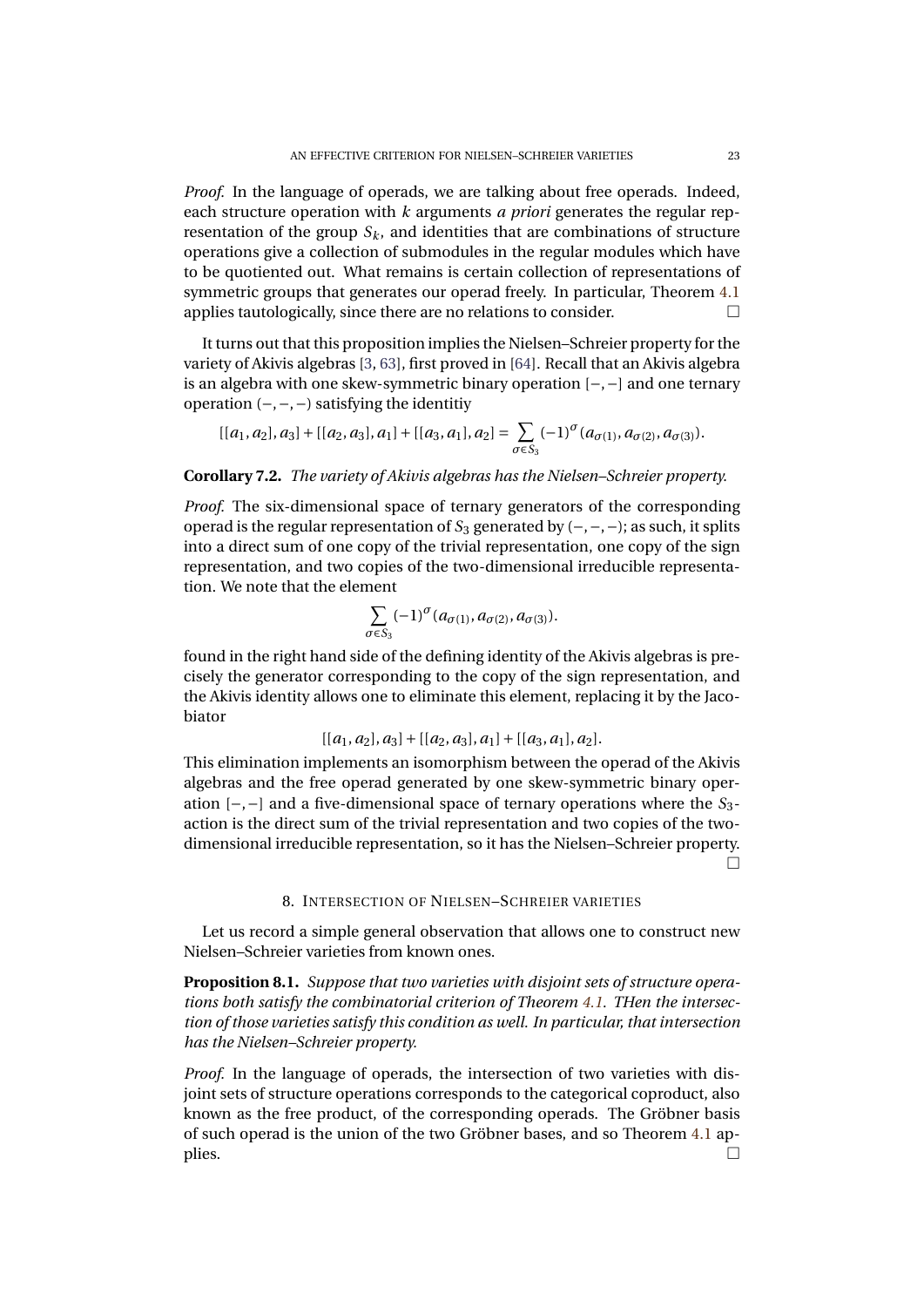*Proof.* In the language of operads, we are talking about free operads. Indeed, each structure operation with *k* arguments *a priori* generates the regular representation of the group  $S_k$ , and identities that are combinations of structure operations give a collection of submodules in the regular modules which have to be quotiented out. What remains is certain collection of representations of symmetric groups that generates our operad freely. In particular, Theorem [4.1](#page-17-0) applies tautologically, since there are no relations to consider.  $\Box$ 

It turns out that this proposition implies the Nielsen–Schreier property for the variety of Akivis algebras [\[3,](#page-28-19) [63\]](#page-30-22), first proved in [\[64\]](#page-30-8). Recall that an Akivis algebra is an algebra with one skew-symmetric binary operation [−,−] and one ternary operation (−,−,−) satisfying the identitiy

$$
[[a_1, a_2], a_3] + [[a_2, a_3], a_1] + [[a_3, a_1], a_2] = \sum_{\sigma \in S_3} (-1)^{\sigma} (a_{\sigma(1)}, a_{\sigma(2)}, a_{\sigma(3)}).
$$

**Corollary 7.2.** *The variety of Akivis algebras has the Nielsen–Schreier property.*

*Proof.* The six-dimensional space of ternary generators of the corresponding operad is the regular representation of *S*<sup>3</sup> generated by (−,−,−); as such, it splits into a direct sum of one copy of the trivial representation, one copy of the sign representation, and two copies of the two-dimensional irreducible representation. We note that the element

$$
\sum_{\sigma \in S_3} (-1)^{\sigma} (a_{\sigma(1)}, a_{\sigma(2)}, a_{\sigma(3)}).
$$

found in the right hand side of the defining identity of the Akivis algebras is precisely the generator corresponding to the copy of the sign representation, and the Akivis identity allows one to eliminate this element, replacing it by the Jacobiator

$$
[[a_1,a_2],a_3]+[[a_2,a_3],a_1]+[[a_3,a_1],a_2].
$$

This elimination implements an isomorphism between the operad of the Akivis algebras and the free operad generated by one skew-symmetric binary operation [−,−] and a five-dimensional space of ternary operations where the *S*3 action is the direct sum of the trivial representation and two copies of the twodimensional irreducible representation, so it has the Nielsen–Schreier property.  $\Box$ 

#### 8. INTERSECTION OF NIELSEN–SCHREIER VARIETIES

Let us record a simple general observation that allows one to construct new Nielsen–Schreier varieties from known ones.

**Proposition 8.1.** *Suppose that two varieties with disjoint sets of structure operations both satisfy the combinatorial criterion of Theorem [4.1.](#page-17-0) THen the intersection of those varieties satisfy this condition as well. In particular, that intersection has the Nielsen–Schreier property.*

*Proof.* In the language of operads, the intersection of two varieties with disjoint sets of structure operations corresponds to the categorical coproduct, also known as the free product, of the corresponding operads. The Gröbner basis of such operad is the union of the two Gröbner bases, and so Theorem [4.1](#page-17-0) ap- $\Box$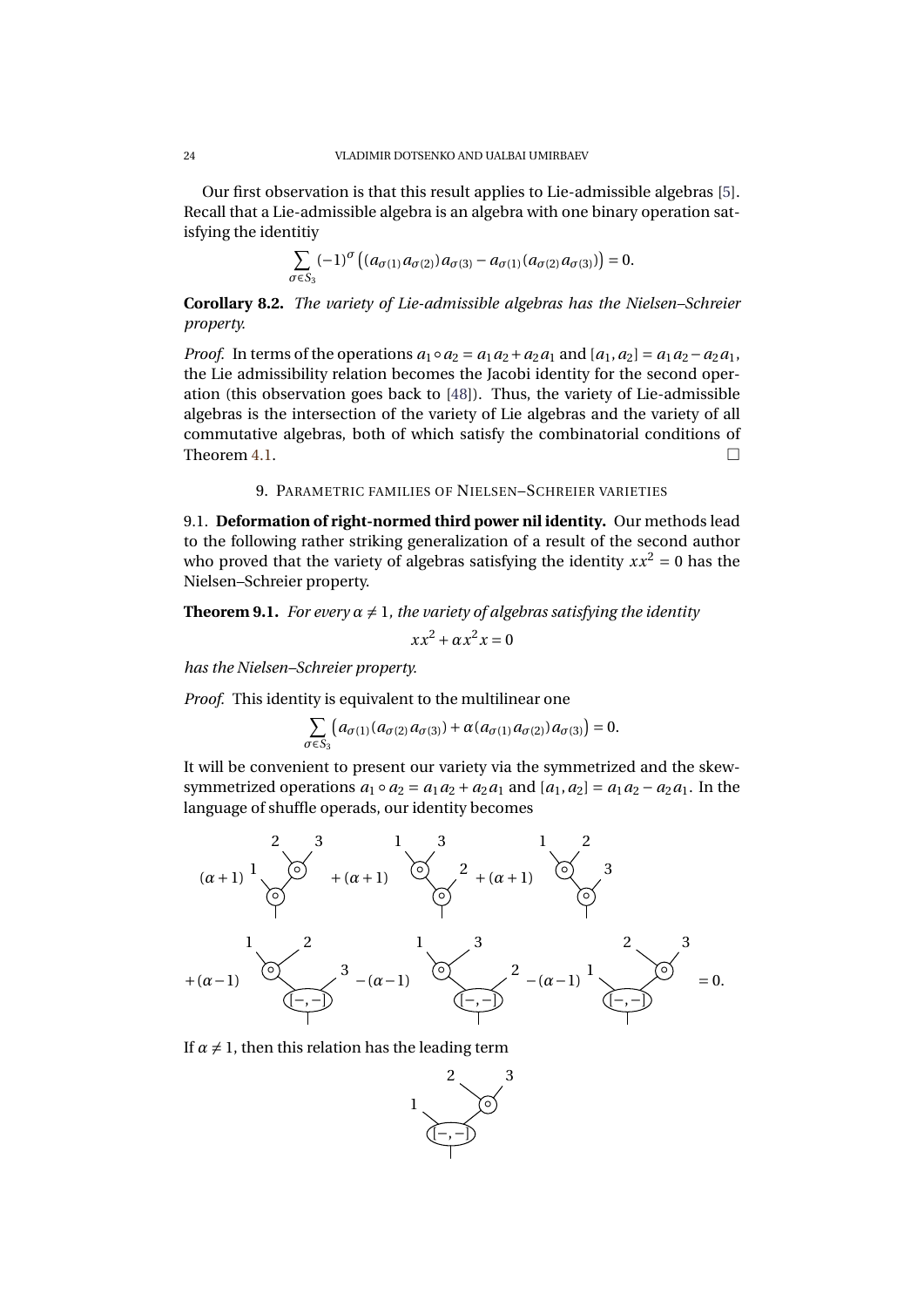Our first observation is that this result applies to Lie-admissible algebras [\[5\]](#page-28-20). Recall that a Lie-admissible algebra is an algebra with one binary operation satisfying the identitiy

$$
\sum_{\sigma \in S_3} (-1)^{\sigma} \left( (a_{\sigma(1)} a_{\sigma(2)}) a_{\sigma(3)} - a_{\sigma(1)} (a_{\sigma(2)} a_{\sigma(3)}) \right) = 0.
$$

<span id="page-25-0"></span>**Corollary 8.2.** *The variety of Lie-admissible algebras has the Nielsen–Schreier property.*

*Proof.* In terms of the operations  $a_1 \circ a_2 = a_1 a_2 + a_2 a_1$  and  $[a_1, a_2] = a_1 a_2 - a_2 a_1$ , the Lie admissibility relation becomes the Jacobi identity for the second operation (this observation goes back to [\[48\]](#page-29-23)). Thus, the variety of Lie-admissible algebras is the intersection of the variety of Lie algebras and the variety of all commutative algebras, both of which satisfy the combinatorial conditions of Theorem 4.1

#### 9. PARAMETRIC FAMILIES OF NIELSEN–SCHREIER VARIETIES

9.1. **Deformation of right-normed third power nil identity.** Our methods lead to the following rather striking generalization of a result of the second author who proved that the variety of algebras satisfying the identity  $xx^2 = 0$  has the Nielsen–Schreier property.

<span id="page-25-1"></span>**Theorem 9.1.** *For every*  $\alpha \neq 1$ *, the variety of algebras satisfying the identity* 

$$
xx^2 + \alpha x^2 x = 0
$$

*has the Nielsen–Schreier property.*

*Proof.* This identity is equivalent to the multilinear one

$$
\sum_{\sigma \in S_3} \left( a_{\sigma(1)}(a_{\sigma(2)}a_{\sigma(3)}) + \alpha (a_{\sigma(1)}a_{\sigma(2)}) a_{\sigma(3)} \right) = 0.
$$

It will be convenient to present our variety via the symmetrized and the skewsymmetrized operations  $a_1 \circ a_2 = a_1 a_2 + a_2 a_1$  and  $[a_1, a_2] = a_1 a_2 - a_2 a_1$ . In the language of shuffle operads, our identity becomes



If  $\alpha \neq 1$ , then this relation has the leading term

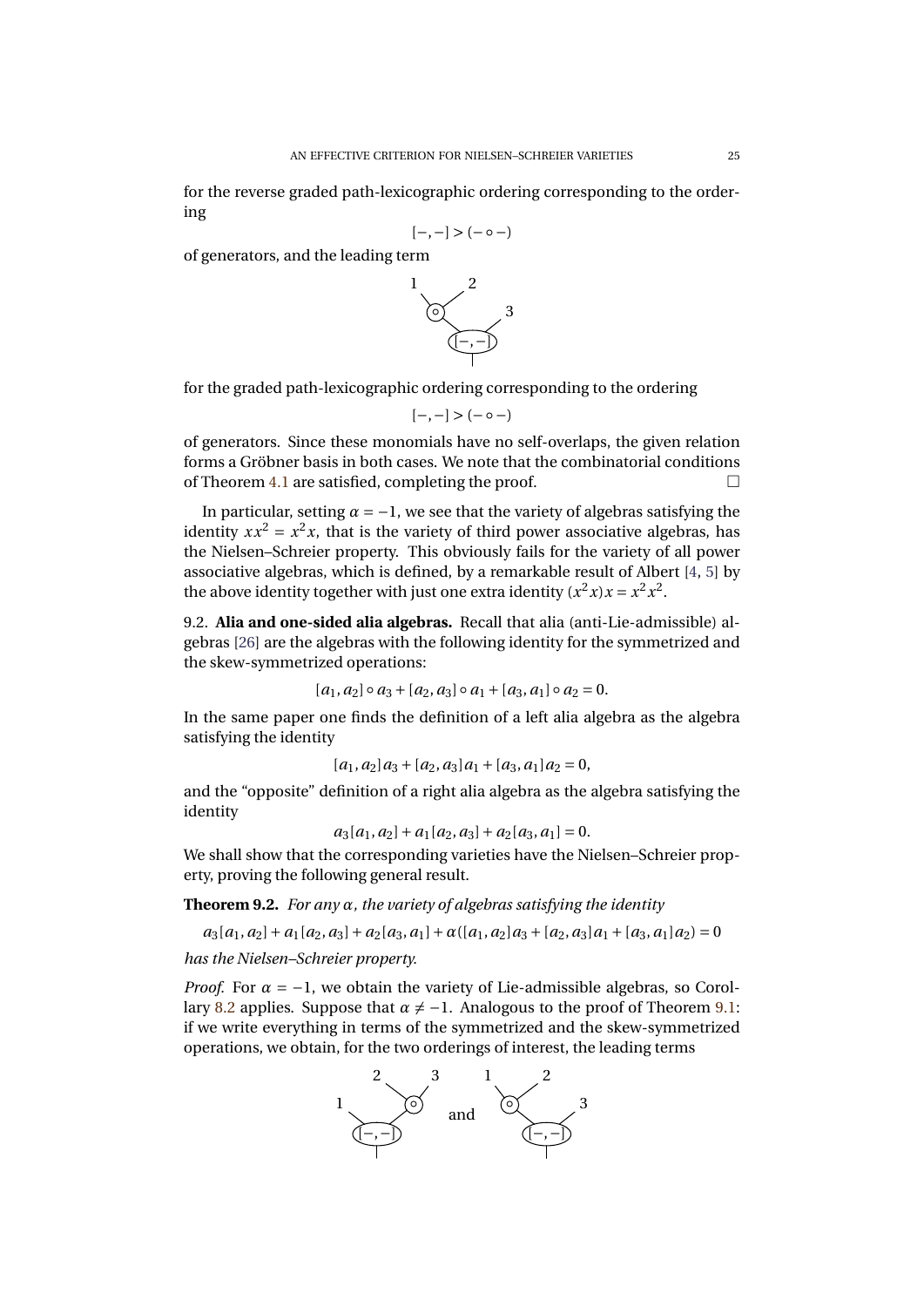for the reverse graded path-lexicographic ordering corresponding to the ordering

$$
[-,-]>(-\circ-)
$$

of generators, and the leading term



for the graded path-lexicographic ordering corresponding to the ordering

$$
[-,-]>(-\circ-)
$$

of generators. Since these monomials have no self-overlaps, the given relation forms a Gröbner basis in both cases. We note that the combinatorial conditions of Theorem [4.1](#page-17-0) are satisfied, completing the proof.  $\Box$ 

In particular, setting  $\alpha = -1$ , we see that the variety of algebras satisfying the identity  $xx^2 = x^2x$ , that is the variety of third power associative algebras, has the Nielsen–Schreier property. This obviously fails for the variety of all power associative algebras, which is defined, by a remarkable result of Albert [\[4,](#page-28-21) [5\]](#page-28-20) by the above identity together with just one extra identity  $(x^2 x)x = x^2 x^2$ .

9.2. **Alia and one-sided alia algebras.** Recall that alia (anti-Lie-admissible) algebras [\[26\]](#page-29-24) are the algebras with the following identity for the symmetrized and the skew-symmetrized operations:

$$
[a_1, a_2] \circ a_3 + [a_2, a_3] \circ a_1 + [a_3, a_1] \circ a_2 = 0.
$$

In the same paper one finds the definition of a left alia algebra as the algebra satisfying the identity

$$
[a_1, a_2]a_3 + [a_2, a_3]a_1 + [a_3, a_1]a_2 = 0,
$$

and the "opposite" definition of a right alia algebra as the algebra satisfying the identity

 $a_3[a_1, a_2] + a_1[a_2, a_3] + a_2[a_3, a_1] = 0.$ 

We shall show that the corresponding varieties have the Nielsen–Schreier property, proving the following general result.

**Theorem 9.2.** *For any α, the variety of algebras satisfying the identity*

 $a_3[a_1, a_2] + a_1[a_2, a_3] + a_2[a_3, a_1] + a((a_1, a_2)a_3 + [a_2, a_3]a_1 + [a_3, a_1]a_2) = 0$ *has the Nielsen–Schreier property.*

*Proof.* For  $\alpha = -1$ , we obtain the variety of Lie-admissible algebras, so Corol-lary [8.2](#page-25-0) applies. Suppose that  $\alpha \neq -1$ . Analogous to the proof of Theorem [9.1:](#page-25-1) if we write everything in terms of the symmetrized and the skew-symmetrized operations, we obtain, for the two orderings of interest, the leading terms

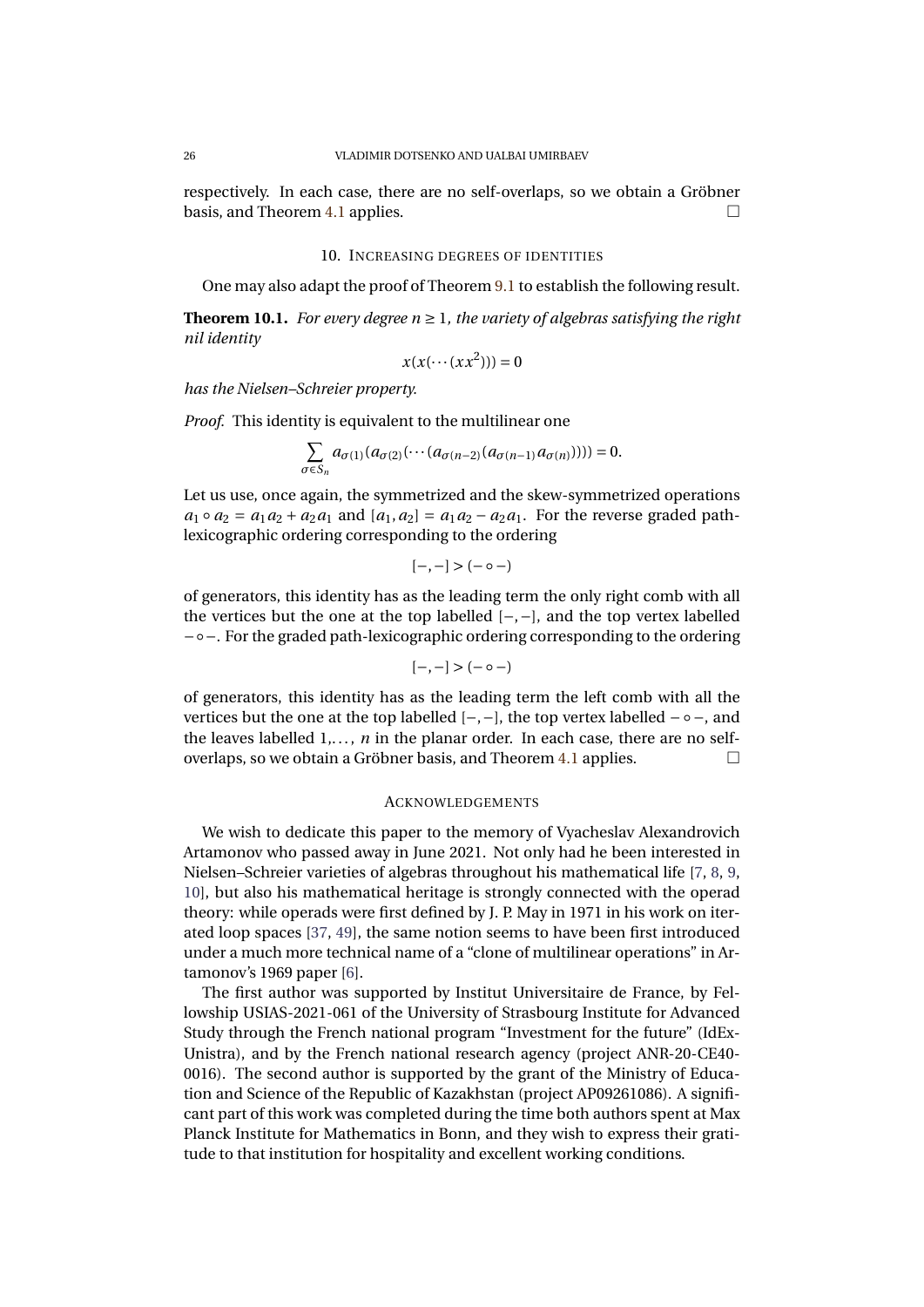respectively. In each case, there are no self-overlaps, so we obtain a Gröbner basis, and Theorem [4.1](#page-17-0) applies.

#### 10. INCREASING DEGREES OF IDENTITIES

<span id="page-27-0"></span>One may also adapt the proof of Theorem [9.1](#page-25-1) to establish the following result.

**Theorem 10.1.** *For every degree*  $n \geq 1$ *, the variety of algebras satisfying the right nil identity*

$$
x(x(\cdots (xx^2)))=0
$$

*has the Nielsen–Schreier property.*

*Proof.* This identity is equivalent to the multilinear one

$$
\sum_{\sigma\in S_n} a_{\sigma(1)}(a_{\sigma(2)}(\cdots(a_{\sigma(n-2)}(a_{\sigma(n-1)}a_{\sigma(n)})))) = 0.
$$

Let us use, once again, the symmetrized and the skew-symmetrized operations  $a_1 \circ a_2 = a_1 a_2 + a_2 a_1$  and  $[a_1, a_2] = a_1 a_2 - a_2 a_1$ . For the reverse graded pathlexicographic ordering corresponding to the ordering

$$
[-,-]>(-\circ-)
$$

of generators, this identity has as the leading term the only right comb with all the vertices but the one at the top labelled [−,−], and the top vertex labelled −◦−. For the graded path-lexicographic ordering corresponding to the ordering

$$
[-,-]>(-\circ-)
$$

of generators, this identity has as the leading term the left comb with all the vertices but the one at the top labelled  $[-,-]$ , the top vertex labelled  $- \circ -$ , and the leaves labelled  $1, \ldots, n$  in the planar order. In each case, there are no self-overlaps, so we obtain a Gröbner basis, and Theorem [4.1](#page-17-0) applies.

#### ACKNOWLEDGEMENTS

We wish to dedicate this paper to the memory of Vyacheslav Alexandrovich Artamonov who passed away in June 2021. Not only had he been interested in Nielsen–Schreier varieties of algebras throughout his mathematical life [\[7,](#page-28-13) [8,](#page-28-6) [9,](#page-28-22) [10\]](#page-28-1), but also his mathematical heritage is strongly connected with the operad theory: while operads were first defined by J. P. May in 1971 in his work on iterated loop spaces [\[37,](#page-29-25) [49\]](#page-29-26), the same notion seems to have been first introduced under a much more technical name of a "clone of multilinear operations" in Artamonov's 1969 paper [\[6\]](#page-28-23).

The first author was supported by Institut Universitaire de France, by Fellowship USIAS-2021-061 of the University of Strasbourg Institute for Advanced Study through the French national program "Investment for the future" (IdEx-Unistra), and by the French national research agency (project ANR-20-CE40- 0016). The second author is supported by the grant of the Ministry of Education and Science of the Republic of Kazakhstan (project AP09261086). A significant part of this work was completed during the time both authors spent at Max Planck Institute for Mathematics in Bonn, and they wish to express their gratitude to that institution for hospitality and excellent working conditions.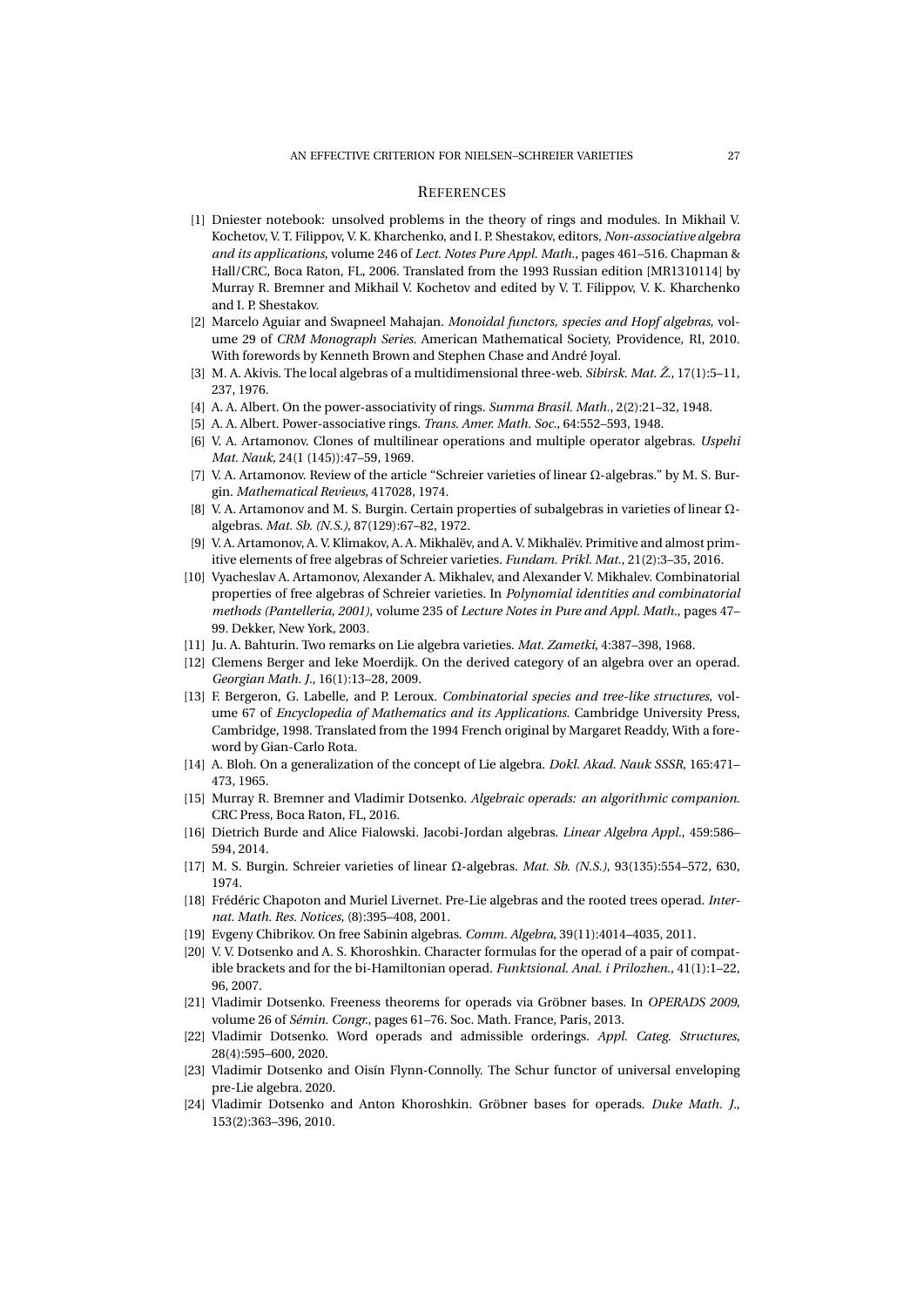#### **REFERENCES**

- <span id="page-28-0"></span>[1] Dniester notebook: unsolved problems in the theory of rings and modules. In Mikhail V. Kochetov, V. T. Filippov, V. K. Kharchenko, and I. P. Shestakov, editors, *Non-associative algebra and its applications*, volume 246 of *Lect. Notes Pure Appl. Math.*, pages 461–516. Chapman & Hall/CRC, Boca Raton, FL, 2006. Translated from the 1993 Russian edition [MR1310114] by Murray R. Bremner and Mikhail V. Kochetov and edited by V. T. Filippov, V. K. Kharchenko and I. P. Shestakov.
- <span id="page-28-8"></span>[2] Marcelo Aguiar and Swapneel Mahajan. *Monoidal functors, species and Hopf algebras*, volume 29 of *CRM Monograph Series*. American Mathematical Society, Providence, RI, 2010. With forewords by Kenneth Brown and Stephen Chase and André Joyal.
- <span id="page-28-19"></span>[3] M. A. Akivis. The local algebras of a multidimensional three-web. *Sibirsk. Mat. Ž.*, 17(1):5–11, 237, 1976.
- <span id="page-28-21"></span>[4] A. A. Albert. On the power-associativity of rings. *Summa Brasil. Math.*, 2(2):21–32, 1948.
- <span id="page-28-20"></span>[5] A. A. Albert. Power-associative rings. *Trans. Amer. Math. Soc.*, 64:552–593, 1948.
- <span id="page-28-23"></span>[6] V. A. Artamonov. Clones of multilinear operations and multiple operator algebras. *Uspehi Mat. Nauk*, 24(1 (145)):47–59, 1969.
- <span id="page-28-13"></span>[7] V. A. Artamonov. Review of the article "Schreier varieties of linear Ω-algebras." by M. S. Burgin. *Mathematical Reviews*, 417028, 1974.
- <span id="page-28-6"></span>[8] V. A. Artamonov and M. S. Burgin. Certain properties of subalgebras in varieties of linear Ωalgebras. *Mat. Sb. (N.S.)*, 87(129):67–82, 1972.
- <span id="page-28-22"></span>[9] V. A. Artamonov, A. V. Klimakov, A. A. Mikhalëv, and A. V. Mikhalëv. Primitive and almost primitive elements of free algebras of Schreier varieties. *Fundam. Prikl. Mat.*, 21(2):3–35, 2016.
- <span id="page-28-1"></span>[10] Vyacheslav A. Artamonov, Alexander A. Mikhalev, and Alexander V. Mikhalev. Combinatorial properties of free algebras of Schreier varieties. In *Polynomial identities and combinatorial methods (Pantelleria, 2001)*, volume 235 of *Lecture Notes in Pure and Appl. Math.*, pages 47– 99. Dekker, New York, 2003.
- <span id="page-28-2"></span>[11] Ju. A. Bahturin. Two remarks on Lie algebra varieties. *Mat. Zametki*, 4:387–398, 1968.
- <span id="page-28-11"></span>[12] Clemens Berger and Ieke Moerdijk. On the derived category of an algebra over an operad. *Georgian Math. J.*, 16(1):13–28, 2009.
- <span id="page-28-7"></span>[13] F. Bergeron, G. Labelle, and P. Leroux. *Combinatorial species and tree-like structures*, volume 67 of *Encyclopedia of Mathematics and its Applications*. Cambridge University Press, Cambridge, 1998. Translated from the 1994 French original by Margaret Readdy, With a foreword by Gian-Carlo Rota.
- <span id="page-28-14"></span>[14] A. Bloh. On a generalization of the concept of Lie algebra. *Dokl. Akad. Nauk SSSR*, 165:471– 473, 1965.
- <span id="page-28-4"></span>[15] Murray R. Bremner and Vladimir Dotsenko. *Algebraic operads: an algorithmic companion*. CRC Press, Boca Raton, FL, 2016.
- <span id="page-28-15"></span>[16] Dietrich Burde and Alice Fialowski. Jacobi-Jordan algebras. *Linear Algebra Appl.*, 459:586– 594, 2014.
- <span id="page-28-12"></span>[17] M. S. Burgin. Schreier varieties of linear Ω-algebras. *Mat. Sb. (N.S.)*, 93(135):554–572, 630, 1974.
- <span id="page-28-16"></span>[18] Frédéric Chapoton and Muriel Livernet. Pre-Lie algebras and the rooted trees operad. *Internat. Math. Res. Notices*, (8):395–408, 2001.
- <span id="page-28-3"></span>[19] Evgeny Chibrikov. On free Sabinin algebras. *Comm. Algebra*, 39(11):4014–4035, 2011.
- <span id="page-28-18"></span>[20] V. V. Dotsenko and A. S. Khoroshkin. Character formulas for the operad of a pair of compatible brackets and for the bi-Hamiltonian operad. *Funktsional. Anal. i Prilozhen.*, 41(1):1–22, 96, 2007.
- <span id="page-28-10"></span>[21] Vladimir Dotsenko. Freeness theorems for operads via Gröbner bases. In *OPERADS 2009*, volume 26 of *Sémin. Congr.*, pages 61–76. Soc. Math. France, Paris, 2013.
- <span id="page-28-9"></span>[22] Vladimir Dotsenko. Word operads and admissible orderings. *Appl. Categ. Structures*, 28(4):595–600, 2020.
- <span id="page-28-17"></span>[23] Vladimir Dotsenko and Oisín Flynn-Connolly. The Schur functor of universal enveloping pre-Lie algebra. 2020.
- <span id="page-28-5"></span>[24] Vladimir Dotsenko and Anton Khoroshkin. Gröbner bases for operads. *Duke Math. J.*, 153(2):363–396, 2010.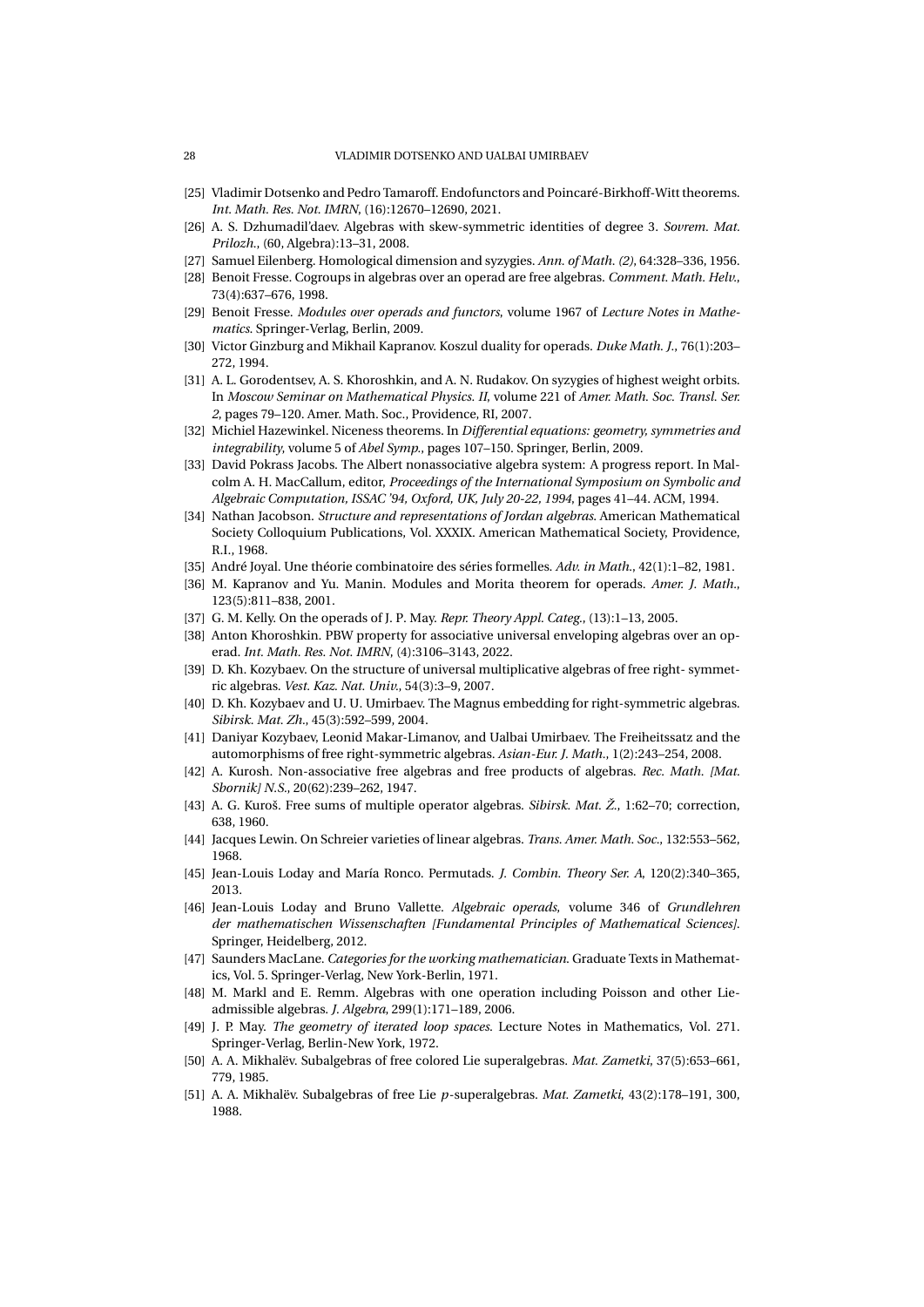- <span id="page-29-6"></span>[25] Vladimir Dotsenko and Pedro Tamaroff. Endofunctors and Poincaré-Birkhoff-Witt theorems. *Int. Math. Res. Not. IMRN*, (16):12670–12690, 2021.
- <span id="page-29-24"></span>[26] A. S. Dzhumadil'daev. Algebras with skew-symmetric identities of degree 3. *Sovrem. Mat. Prilozh.*, (60, Algebra):13–31, 2008.
- <span id="page-29-14"></span>[27] Samuel Eilenberg. Homological dimension and syzygies. *Ann. of Math. (2)*, 64:328–336, 1956.
- <span id="page-29-1"></span>[28] Benoit Fresse. Cogroups in algebras over an operad are free algebras. *Comment. Math. Helv.*, 73(4):637–676, 1998.
- <span id="page-29-13"></span>[29] Benoit Fresse. *Modules over operads and functors*, volume 1967 of *Lecture Notes in Mathematics*. Springer-Verlag, Berlin, 2009.
- <span id="page-29-16"></span>[30] Victor Ginzburg and Mikhail Kapranov. Koszul duality for operads. *Duke Math. J.*, 76(1):203– 272, 1994.
- <span id="page-29-10"></span>[31] A. L. Gorodentsev, A. S. Khoroshkin, and A. N. Rudakov. On syzygies of highest weight orbits. In *Moscow Seminar on Mathematical Physics. II*, volume 221 of *Amer. Math. Soc. Transl. Ser. 2*, pages 79–120. Amer. Math. Soc., Providence, RI, 2007.
- <span id="page-29-0"></span>[32] Michiel Hazewinkel. Niceness theorems. In *Differential equations: geometry, symmetries and integrability*, volume 5 of *Abel Symp.*, pages 107–150. Springer, Berlin, 2009.
- <span id="page-29-22"></span>[33] David Pokrass Jacobs. The Albert nonassociative algebra system: A progress report. In Malcolm A. H. MacCallum, editor, *Proceedings of the International Symposium on Symbolic and Algebraic Computation, ISSAC '94, Oxford, UK, July 20-22, 1994*, pages 41–44. ACM, 1994.
- <span id="page-29-15"></span>[34] Nathan Jacobson. *Structure and representations of Jordan algebras*. American Mathematical Society Colloquium Publications, Vol. XXXIX. American Mathematical Society, Providence, R.I., 1968.
- <span id="page-29-11"></span>[35] André Joyal. Une théorie combinatoire des séries formelles. *Adv. in Math.*, 42(1):1–82, 1981.
- <span id="page-29-17"></span>[36] M. Kapranov and Yu. Manin. Modules and Morita theorem for operads. *Amer. J. Math.*, 123(5):811–838, 2001.
- <span id="page-29-25"></span>[37] G. M. Kelly. On the operads of J. P. May. *Repr. Theory Appl. Categ.*, (13):1–13, 2005.
- <span id="page-29-18"></span>[38] Anton Khoroshkin. PBW property for associative universal enveloping algebras over an operad. *Int. Math. Res. Not. IMRN*, (4):3106–3143, 2022.
- <span id="page-29-21"></span>[39] D. Kh. Kozybaev. On the structure of universal multiplicative algebras of free right- symmetric algebras. *Vest. Kaz. Nat. Univ.*, 54(3):3–9, 2007.
- <span id="page-29-20"></span>[40] D. Kh. Kozybaev and U. U. Umirbaev. The Magnus embedding for right-symmetric algebras. *Sibirsk. Mat. Zh.*, 45(3):592–599, 2004.
- <span id="page-29-19"></span>[41] Daniyar Kozybaev, Leonid Makar-Limanov, and Ualbai Umirbaev. The Freiheitssatz and the automorphisms of free right-symmetric algebras. *Asian-Eur. J. Math.*, 1(2):243–254, 2008.
- <span id="page-29-2"></span>[42] A. Kurosh. Non-associative free algebras and free products of algebras. *Rec. Math. [Mat. Sbornik] N.S.*, 20(62):239–262, 1947.
- <span id="page-29-3"></span>[43] A. G. Kuroš. Free sums of multiple operator algebras. *Sibirsk. Mat. Ž.*, 1:62–70; correction, 638, 1960.
- <span id="page-29-9"></span>[44] Jacques Lewin. On Schreier varieties of linear algebras. *Trans. Amer. Math. Soc.*, 132:553–562, 1968.
- <span id="page-29-12"></span>[45] Jean-Louis Loday and María Ronco. Permutads. *J. Combin. Theory Ser. A*, 120(2):340–365, 2013.
- <span id="page-29-8"></span>[46] Jean-Louis Loday and Bruno Vallette. *Algebraic operads*, volume 346 of *Grundlehren der mathematischen Wissenschaften [Fundamental Principles of Mathematical Sciences]*. Springer, Heidelberg, 2012.
- <span id="page-29-7"></span>[47] Saunders MacLane. *Categories for the working mathematician*. Graduate Texts in Mathematics, Vol. 5. Springer-Verlag, New York-Berlin, 1971.
- <span id="page-29-23"></span>[48] M. Markl and E. Remm. Algebras with one operation including Poisson and other Lieadmissible algebras. *J. Algebra*, 299(1):171–189, 2006.
- <span id="page-29-26"></span>[49] J. P. May. *The geometry of iterated loop spaces*. Lecture Notes in Mathematics, Vol. 271. Springer-Verlag, Berlin-New York, 1972.
- <span id="page-29-4"></span>[50] A. A. Mikhalëv. Subalgebras of free colored Lie superalgebras. *Mat. Zametki*, 37(5):653–661, 779, 1985.
- <span id="page-29-5"></span>[51] A. A. Mikhalëv. Subalgebras of free Lie *p*-superalgebras. *Mat. Zametki*, 43(2):178–191, 300, 1988.